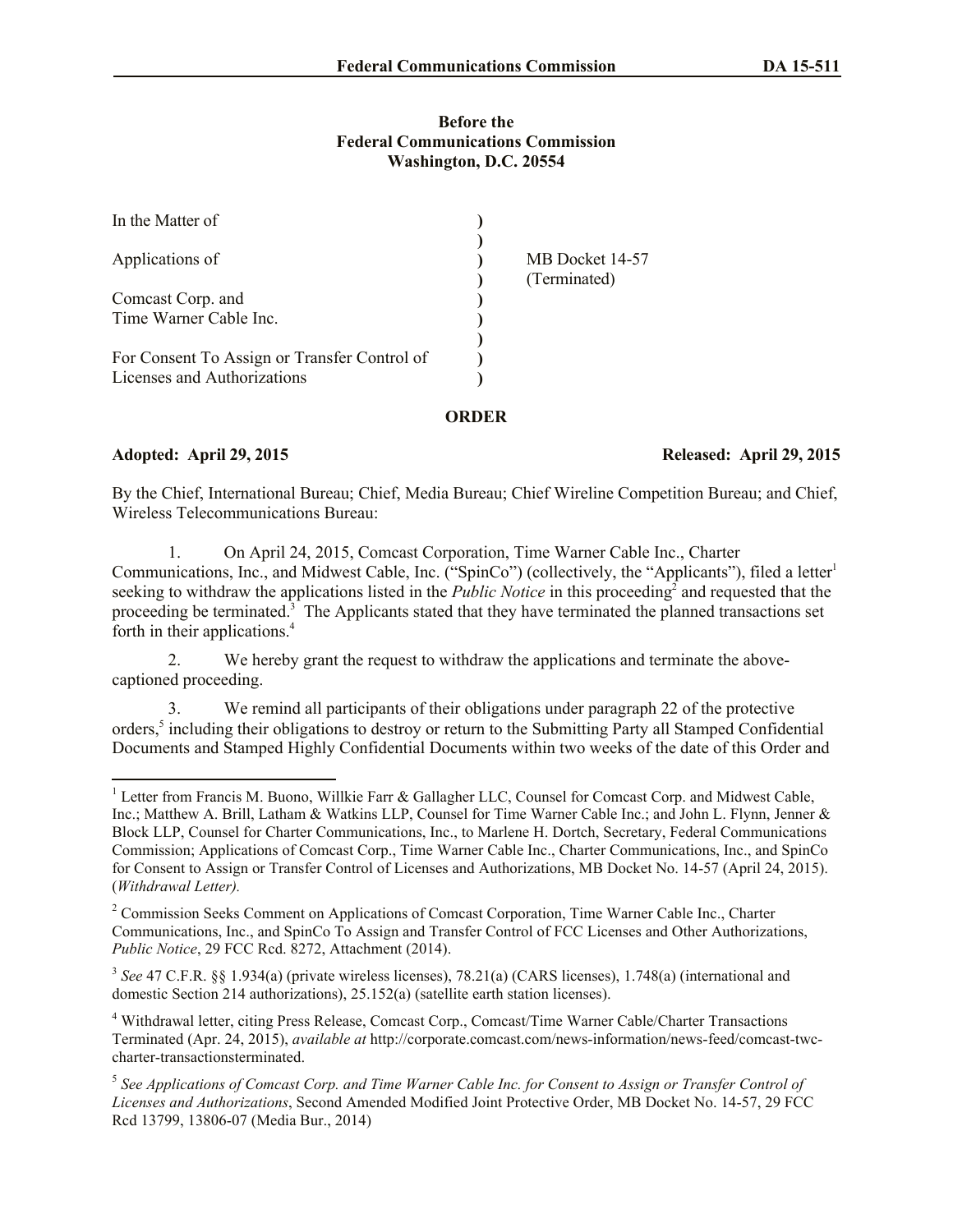### **Before the Federal Communications Commission Washington, D.C. 20554**

| In the Matter of                             |                                 |
|----------------------------------------------|---------------------------------|
| Applications of                              | MB Docket 14-57<br>(Terminated) |
| Comcast Corp. and                            |                                 |
| Time Warner Cable Inc.                       |                                 |
|                                              |                                 |
| For Consent To Assign or Transfer Control of |                                 |
| Licenses and Authorizations                  |                                 |

### **ORDER**

l

## **Adopted: April 29, 2015 Released: April 29, 2015**

By the Chief, International Bureau; Chief, Media Bureau; Chief Wireline Competition Bureau; and Chief, Wireless Telecommunications Bureau:

1. On April 24, 2015, Comcast Corporation, Time Warner Cable Inc., Charter Communications, Inc., and Midwest Cable, Inc. ("SpinCo") (collectively, the "Applicants"), filed a letter<sup>1</sup> seeking to withdraw the applications listed in the *Public Notice* in this proceeding<sup>2</sup> and requested that the proceeding be terminated.<sup>3</sup> The Applicants stated that they have terminated the planned transactions set forth in their applications. 4

2. We hereby grant the request to withdraw the applications and terminate the abovecaptioned proceeding.

3. We remind all participants of their obligations under paragraph 22 of the protective orders,<sup>5</sup> including their obligations to destroy or return to the Submitting Party all Stamped Confidential Documents and Stamped Highly Confidential Documents within two weeks of the date of this Order and

<sup>&</sup>lt;sup>1</sup> Letter from Francis M. Buono, Willkie Farr & Gallagher LLC, Counsel for Comcast Corp. and Midwest Cable, Inc.; Matthew A. Brill, Latham & Watkins LLP, Counsel for Time Warner Cable Inc.; and John L. Flynn, Jenner & Block LLP, Counsel for Charter Communications, Inc., to Marlene H. Dortch, Secretary, Federal Communications Commission; Applications of Comcast Corp., Time Warner Cable Inc., Charter Communications, Inc., and SpinCo for Consent to Assign or Transfer Control of Licenses and Authorizations, MB Docket No. 14-57 (April 24, 2015). (*Withdrawal Letter).*

<sup>&</sup>lt;sup>2</sup> Commission Seeks Comment on Applications of Comcast Corporation, Time Warner Cable Inc., Charter Communications, Inc., and SpinCo To Assign and Transfer Control of FCC Licenses and Other Authorizations, *Public Notice*, 29 FCC Rcd. 8272, Attachment (2014).

<sup>3</sup> *See* 47 C.F.R. §§ 1.934(a) (private wireless licenses), 78.21(a) (CARS licenses), 1.748(a) (international and domestic Section 214 authorizations), 25.152(a) (satellite earth station licenses).

<sup>4</sup> Withdrawal letter, citing Press Release, Comcast Corp., Comcast/Time Warner Cable/Charter Transactions Terminated (Apr. 24, 2015), *available at* http://corporate.comcast.com/news-information/news-feed/comcast-twccharter-transactionsterminated.

<sup>&</sup>lt;sup>5</sup> See Applications of Comcast Corp. and Time Warner Cable Inc. for Consent to Assign or Transfer Control of *Licenses and Authorizations*, Second Amended Modified Joint Protective Order, MB Docket No. 14-57, 29 FCC Rcd 13799, 13806-07 (Media Bur., 2014)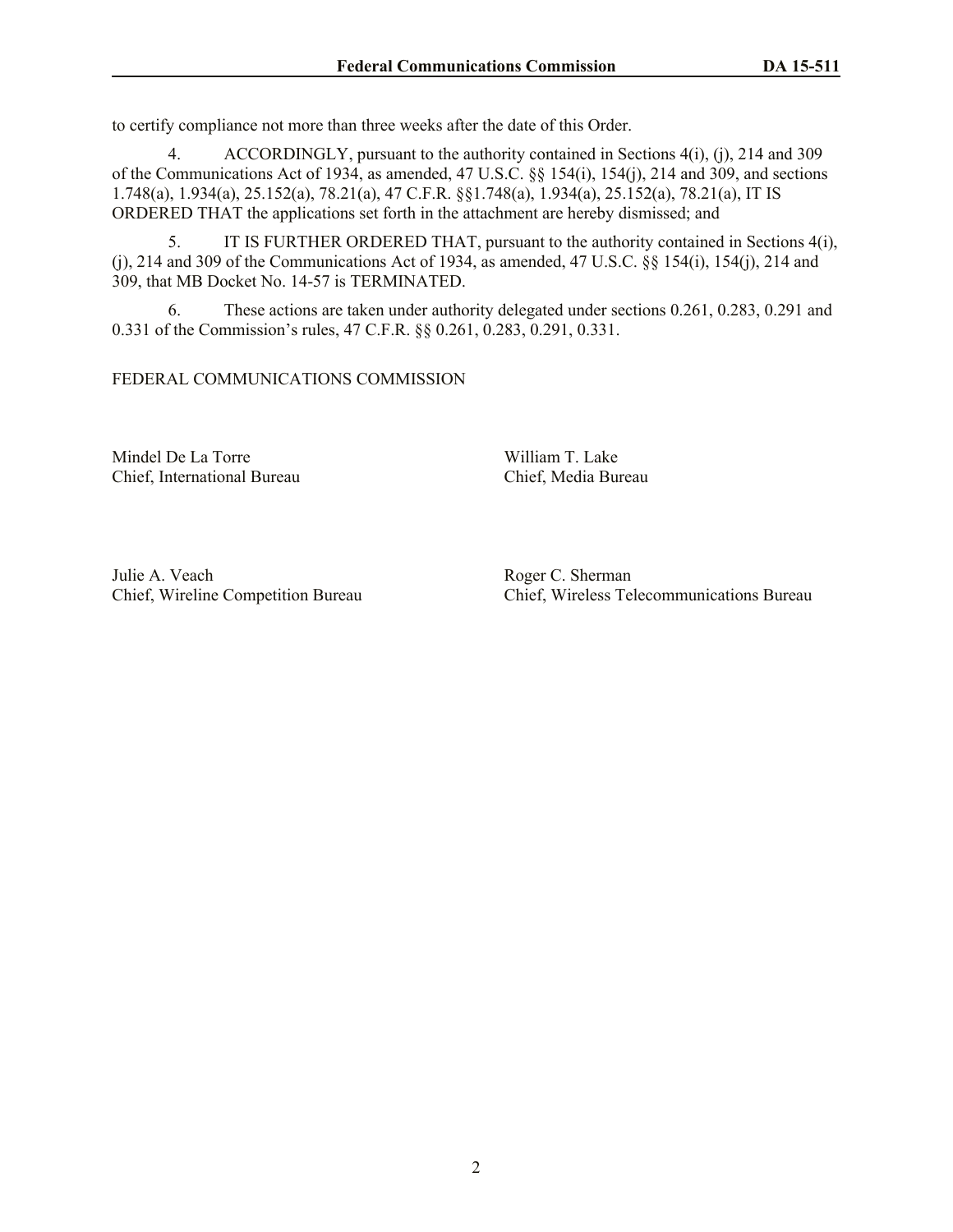to certify compliance not more than three weeks after the date of this Order.

4. ACCORDINGLY, pursuant to the authority contained in Sections 4(i), (j), 214 and 309 of the Communications Act of 1934, as amended, 47 U.S.C. §§ 154(i), 154(j), 214 and 309, and sections 1.748(a), 1.934(a), 25.152(a), 78.21(a), 47 C.F.R. §§1.748(a), 1.934(a), 25.152(a), 78.21(a), IT IS ORDERED THAT the applications set forth in the attachment are hereby dismissed; and

5. IT IS FURTHER ORDERED THAT, pursuant to the authority contained in Sections 4(i), (j), 214 and 309 of the Communications Act of 1934, as amended, 47 U.S.C. §§ 154(i), 154(j), 214 and 309, that MB Docket No. 14-57 is TERMINATED.

6. These actions are taken under authority delegated under sections 0.261, 0.283, 0.291 and 0.331 of the Commission's rules, 47 C.F.R. §§ 0.261, 0.283, 0.291, 0.331.

### FEDERAL COMMUNICATIONS COMMISSION

Mindel De La Torre William T. Lake Chief, International Bureau Chief, Media Bureau

Julie A. Veach Roger C. Sherman

Chief, Wireline Competition Bureau Chief, Wireless Telecommunications Bureau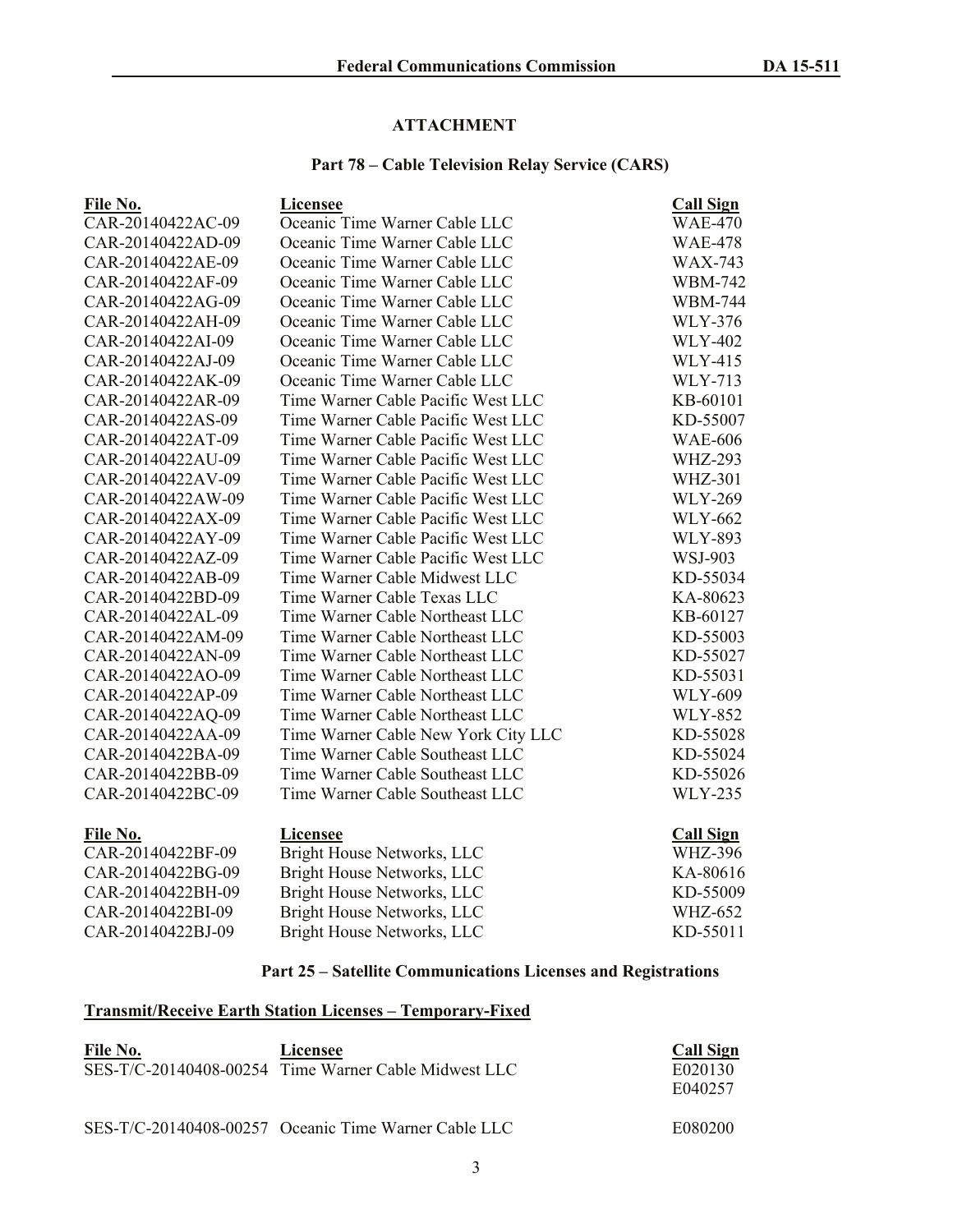### **ATTACHMENT**

## **Part 78 – Cable Television Relay Service (CARS)**

| File No.          | Licensee                            | <b>Call Sign</b> |
|-------------------|-------------------------------------|------------------|
| CAR-20140422AC-09 | Oceanic Time Warner Cable LLC       | <b>WAE-470</b>   |
| CAR-20140422AD-09 | Oceanic Time Warner Cable LLC       | <b>WAE-478</b>   |
| CAR-20140422AE-09 | Oceanic Time Warner Cable LLC       | <b>WAX-743</b>   |
| CAR-20140422AF-09 | Oceanic Time Warner Cable LLC       | <b>WBM-742</b>   |
| CAR-20140422AG-09 | Oceanic Time Warner Cable LLC       | <b>WBM-744</b>   |
| CAR-20140422AH-09 | Oceanic Time Warner Cable LLC       | <b>WLY-376</b>   |
| CAR-20140422AI-09 | Oceanic Time Warner Cable LLC       | <b>WLY-402</b>   |
| CAR-20140422AJ-09 | Oceanic Time Warner Cable LLC       | <b>WLY-415</b>   |
| CAR-20140422AK-09 | Oceanic Time Warner Cable LLC       | <b>WLY-713</b>   |
| CAR-20140422AR-09 | Time Warner Cable Pacific West LLC  | KB-60101         |
| CAR-20140422AS-09 | Time Warner Cable Pacific West LLC  | KD-55007         |
| CAR-20140422AT-09 | Time Warner Cable Pacific West LLC  | <b>WAE-606</b>   |
| CAR-20140422AU-09 | Time Warner Cable Pacific West LLC  | <b>WHZ-293</b>   |
| CAR-20140422AV-09 | Time Warner Cable Pacific West LLC  | <b>WHZ-301</b>   |
| CAR-20140422AW-09 | Time Warner Cable Pacific West LLC  | <b>WLY-269</b>   |
| CAR-20140422AX-09 | Time Warner Cable Pacific West LLC  | <b>WLY-662</b>   |
| CAR-20140422AY-09 | Time Warner Cable Pacific West LLC  | <b>WLY-893</b>   |
| CAR-20140422AZ-09 | Time Warner Cable Pacific West LLC  | WSJ-903          |
| CAR-20140422AB-09 | Time Warner Cable Midwest LLC       | KD-55034         |
| CAR-20140422BD-09 | Time Warner Cable Texas LLC         | KA-80623         |
| CAR-20140422AL-09 | Time Warner Cable Northeast LLC     | KB-60127         |
| CAR-20140422AM-09 | Time Warner Cable Northeast LLC     | KD-55003         |
| CAR-20140422AN-09 | Time Warner Cable Northeast LLC     | KD-55027         |
| CAR-20140422AO-09 | Time Warner Cable Northeast LLC     | KD-55031         |
| CAR-20140422AP-09 | Time Warner Cable Northeast LLC     | <b>WLY-609</b>   |
| CAR-20140422AQ-09 | Time Warner Cable Northeast LLC     | <b>WLY-852</b>   |
| CAR-20140422AA-09 | Time Warner Cable New York City LLC | KD-55028         |
| CAR-20140422BA-09 | Time Warner Cable Southeast LLC     | KD-55024         |
| CAR-20140422BB-09 | Time Warner Cable Southeast LLC     | KD-55026         |
| CAR-20140422BC-09 | Time Warner Cable Southeast LLC     | <b>WLY-235</b>   |
| File No.          | <b>Licensee</b>                     | <b>Call Sign</b> |
| CAR-20140422BF-09 | Bright House Networks, LLC          | <b>WHZ-396</b>   |
| CAR-20140422BG-09 | Bright House Networks, LLC          | KA-80616         |
| CAR-20140422BH-09 | Bright House Networks, LLC          | KD-55009         |
| CAR-20140422BI-09 | Bright House Networks, LLC          | <b>WHZ-652</b>   |
| CAR-20140422BJ-09 | Bright House Networks, LLC          | KD-55011         |

# **Part 25 – Satellite Communications Licenses and Registrations**

## **Transmit/Receive Earth Station Licenses – Temporary-Fixed**

| File No. | Licensee<br>SES-T/C-20140408-00254 Time Warner Cable Midwest LLC | <b>Call Sign</b><br>E020130 |
|----------|------------------------------------------------------------------|-----------------------------|
|          |                                                                  | E040257                     |
|          | SES-T/C-20140408-00257 Oceanic Time Warner Cable LLC             | E080200                     |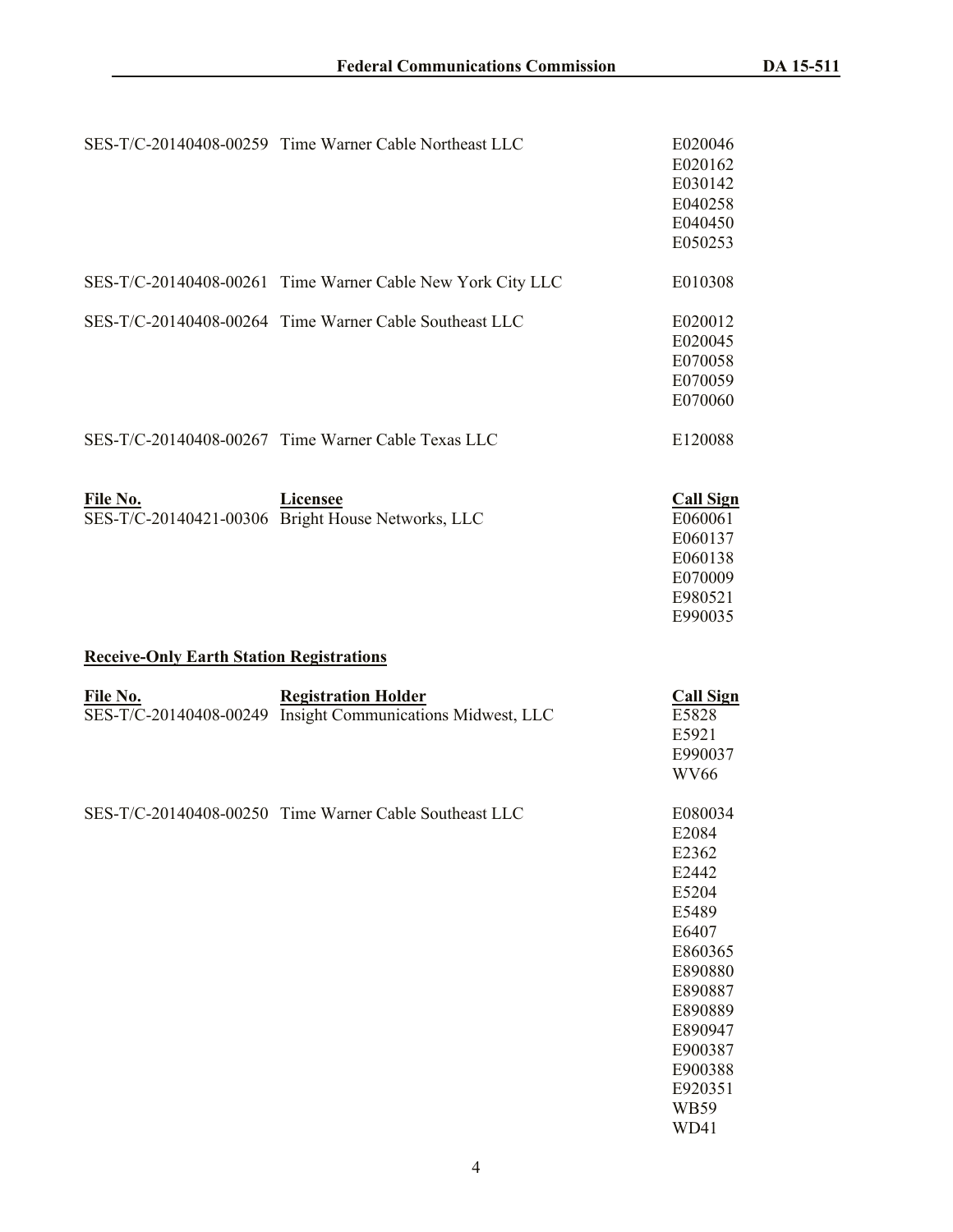|                                                 | SES-T/C-20140408-00259 Time Warner Cable Northeast LLC        | E020046<br>E020162<br>E030142<br>E040258<br>E040450<br>E050253                     |
|-------------------------------------------------|---------------------------------------------------------------|------------------------------------------------------------------------------------|
|                                                 | SES-T/C-20140408-00261 Time Warner Cable New York City LLC    | E010308                                                                            |
|                                                 | SES-T/C-20140408-00264 Time Warner Cable Southeast LLC        | E020012<br>E020045<br>E070058<br>E070059<br>E070060                                |
|                                                 | SES-T/C-20140408-00267 Time Warner Cable Texas LLC            | E120088                                                                            |
| File No.                                        | Licensee<br>SES-T/C-20140421-00306 Bright House Networks, LLC | <b>Call Sign</b><br>E060061<br>E060137<br>E060138<br>E070009<br>E980521<br>E990035 |
| <b>Receive-Only Earth Station Registrations</b> |                                                               |                                                                                    |
| File No.                                        | <b>Registration Holder</b>                                    | <b>Call Sign</b><br>E5828                                                          |
| SES-T/C-20140408-00249                          | Insight Communications Midwest, LLC                           | E5921<br>E990037<br><b>WV66</b>                                                    |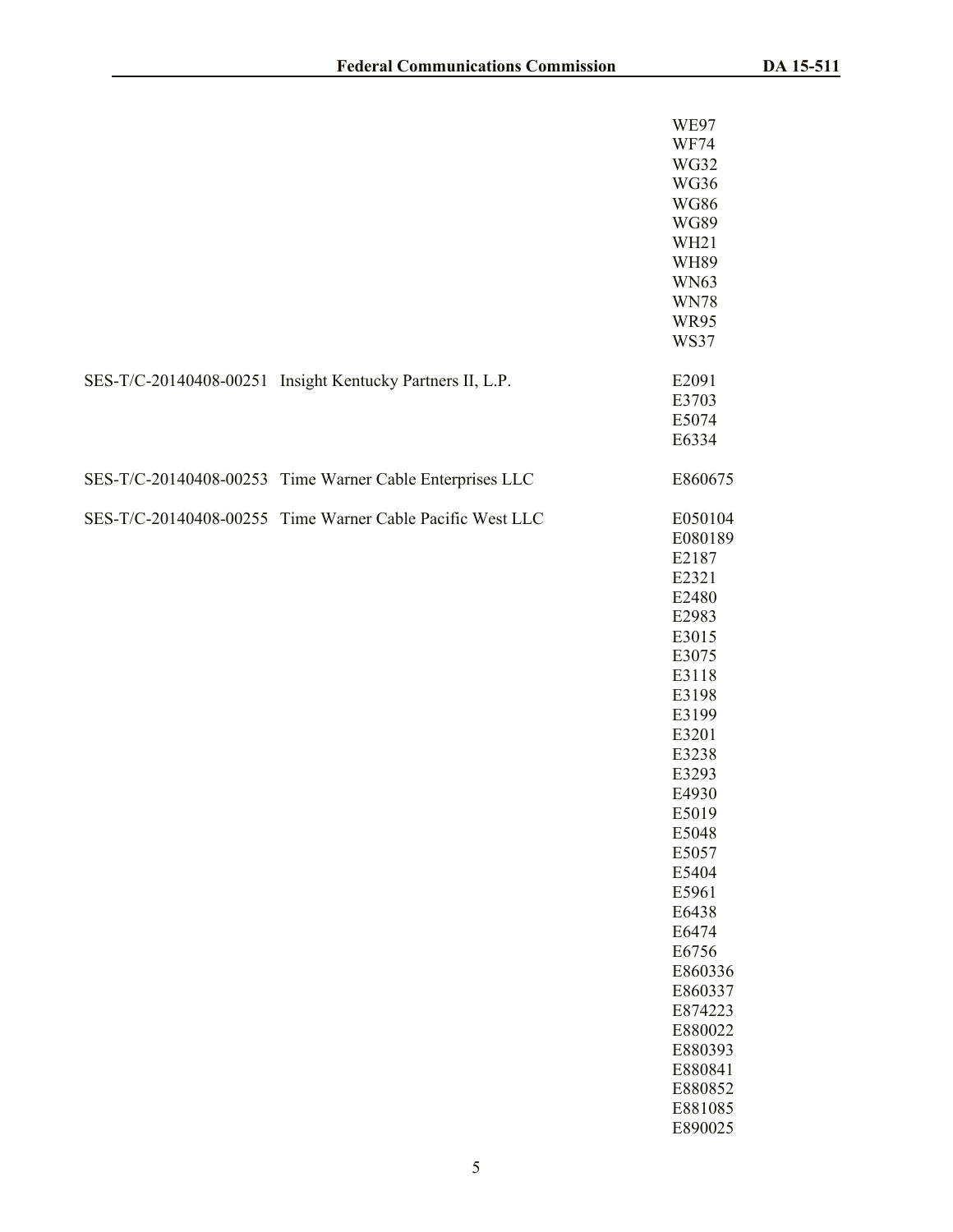|                                                           | <b>WE97</b><br><b>WF74</b><br><b>WG32</b><br>WG36<br><b>WG86</b><br><b>WG89</b><br>WH <sub>21</sub><br><b>WH89</b><br><b>WN63</b><br><b>WN78</b><br><b>WR95</b><br><b>WS37</b>                                                                                                                                     |
|-----------------------------------------------------------|--------------------------------------------------------------------------------------------------------------------------------------------------------------------------------------------------------------------------------------------------------------------------------------------------------------------|
| SES-T/C-20140408-00251 Insight Kentucky Partners II, L.P. | E2091<br>E3703<br>E5074<br>E6334                                                                                                                                                                                                                                                                                   |
| SES-T/C-20140408-00253 Time Warner Cable Enterprises LLC  | E860675                                                                                                                                                                                                                                                                                                            |
| SES-T/C-20140408-00255 Time Warner Cable Pacific West LLC | E050104<br>E080189<br>E2187<br>E2321<br>E2480<br>E2983<br>E3015<br>E3075<br>E3118<br>E3198<br>E3199<br>E3201<br>E3238<br>E3293<br>E4930<br>E5019<br>E5048<br>E5057<br>E5404<br>E5961<br>E6438<br>E6474<br>E6756<br>E860336<br>E860337<br>E874223<br>E880022<br>E880393<br>E880841<br>E880852<br>E881085<br>E890025 |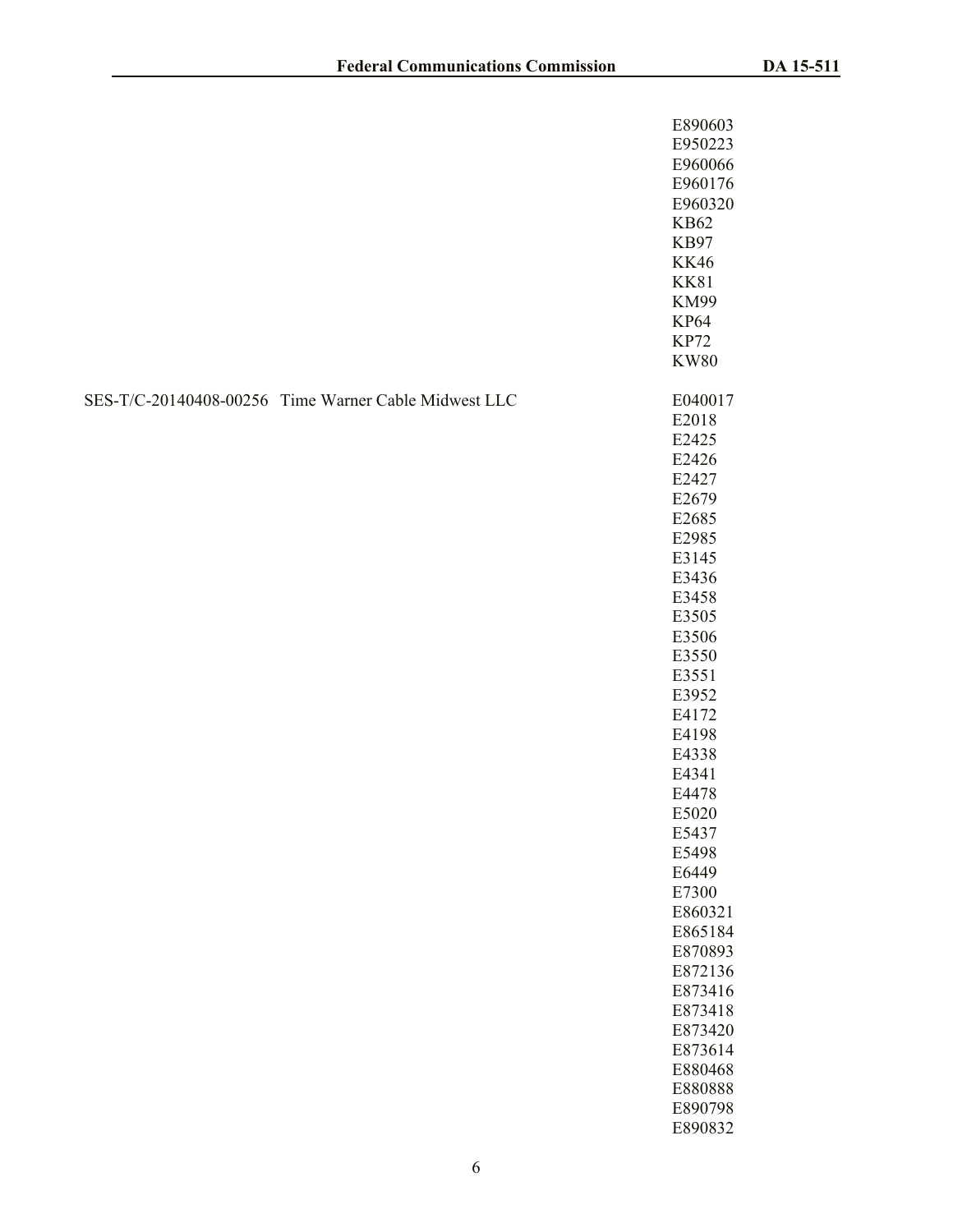|                                                      | E890603<br>E950223<br>E960066<br>E960176<br>E960320<br><b>KB62</b><br><b>KB97</b><br><b>KK46</b><br><b>KK81</b><br><b>KM99</b><br><b>KP64</b><br><b>KP72</b><br><b>KW80</b>                                                                                                                                                                                                  |
|------------------------------------------------------|------------------------------------------------------------------------------------------------------------------------------------------------------------------------------------------------------------------------------------------------------------------------------------------------------------------------------------------------------------------------------|
| SES-T/C-20140408-00256 Time Warner Cable Midwest LLC | E040017<br>E2018<br>E2425<br>E2426<br>E2427<br>E2679<br>E2685<br>E2985<br>E3145<br>E3436<br>E3458<br>E3505<br>E3506<br>E3550<br>E3551<br>E3952<br>E4172<br>E4198<br>E4338<br>E4341<br>E4478<br>E5020<br>E5437<br>E5498<br>E6449<br>E7300<br>E860321<br>E865184<br>E870893<br>E872136<br>E873416<br>E873418<br>E873420<br>E873614<br>E880468<br>E880888<br>E890798<br>E890832 |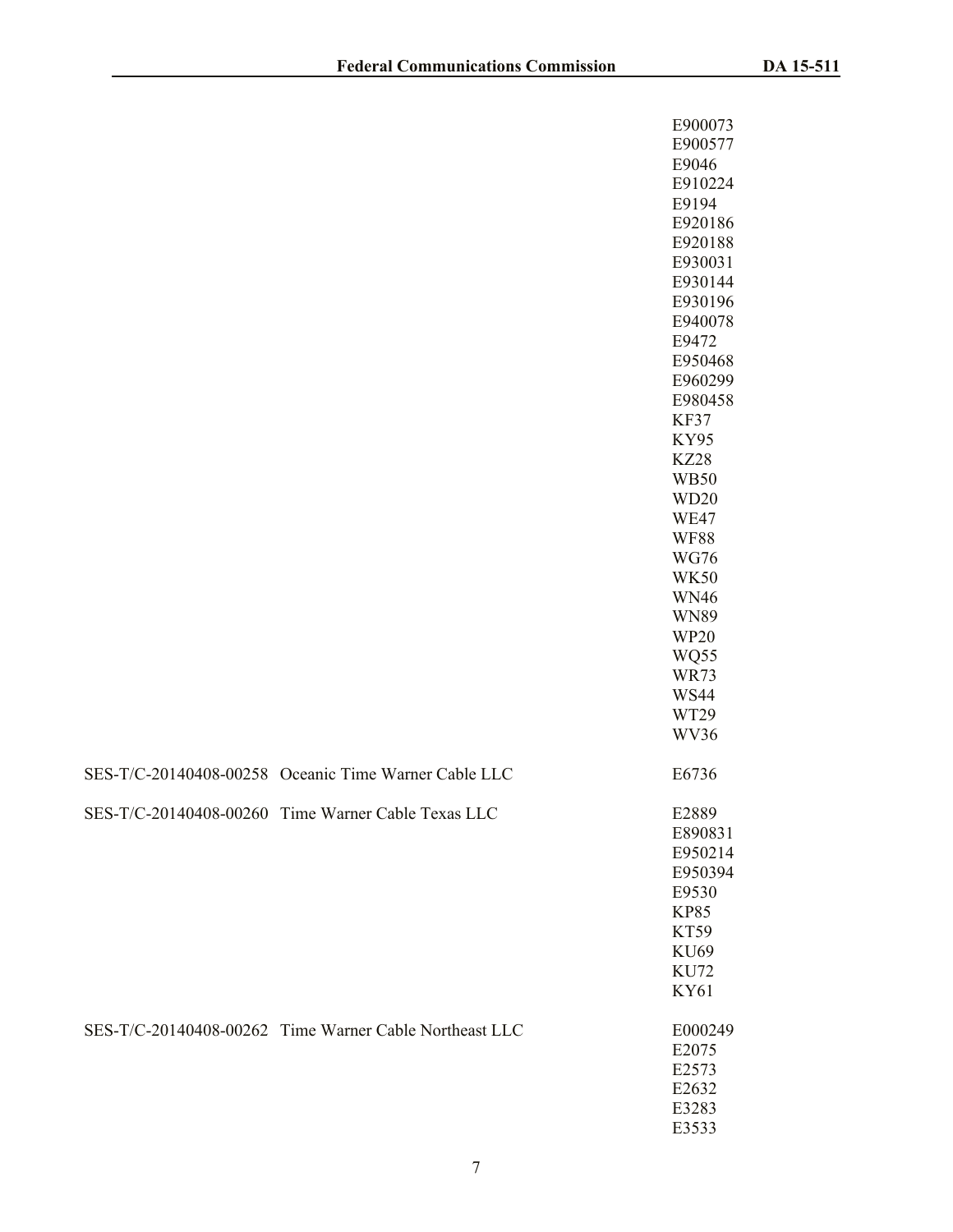|                                                        | E900073<br>E900577<br>E9046<br>E910224<br>E9194<br>E920186<br>E920188<br>E930031<br>E930144<br>E930196<br>E940078<br>E9472<br>E950468<br>E960299<br>E980458<br>KF37<br><b>KY95</b><br><b>KZ28</b><br><b>WB50</b><br>WD <sub>20</sub><br>WE47<br><b>WF88</b><br><b>WG76</b><br><b>WK50</b><br><b>WN46</b><br><b>WN89</b><br><b>WP20</b><br>WQ55<br><b>WR73</b><br><b>WS44</b><br>WT29 |
|--------------------------------------------------------|--------------------------------------------------------------------------------------------------------------------------------------------------------------------------------------------------------------------------------------------------------------------------------------------------------------------------------------------------------------------------------------|
| SES-T/C-20140408-00258 Oceanic Time Warner Cable LLC   | WV36<br>E6736                                                                                                                                                                                                                                                                                                                                                                        |
|                                                        |                                                                                                                                                                                                                                                                                                                                                                                      |
| SES-T/C-20140408-00260 Time Warner Cable Texas LLC     | E2889<br>E890831<br>E950214<br>E950394<br>E9530<br><b>KP85</b><br>KT59<br>KU69<br><b>KU72</b><br><b>KY61</b>                                                                                                                                                                                                                                                                         |
| SES-T/C-20140408-00262 Time Warner Cable Northeast LLC | E000249<br>E2075<br>E2573<br>E2632<br>E3283<br>E3533                                                                                                                                                                                                                                                                                                                                 |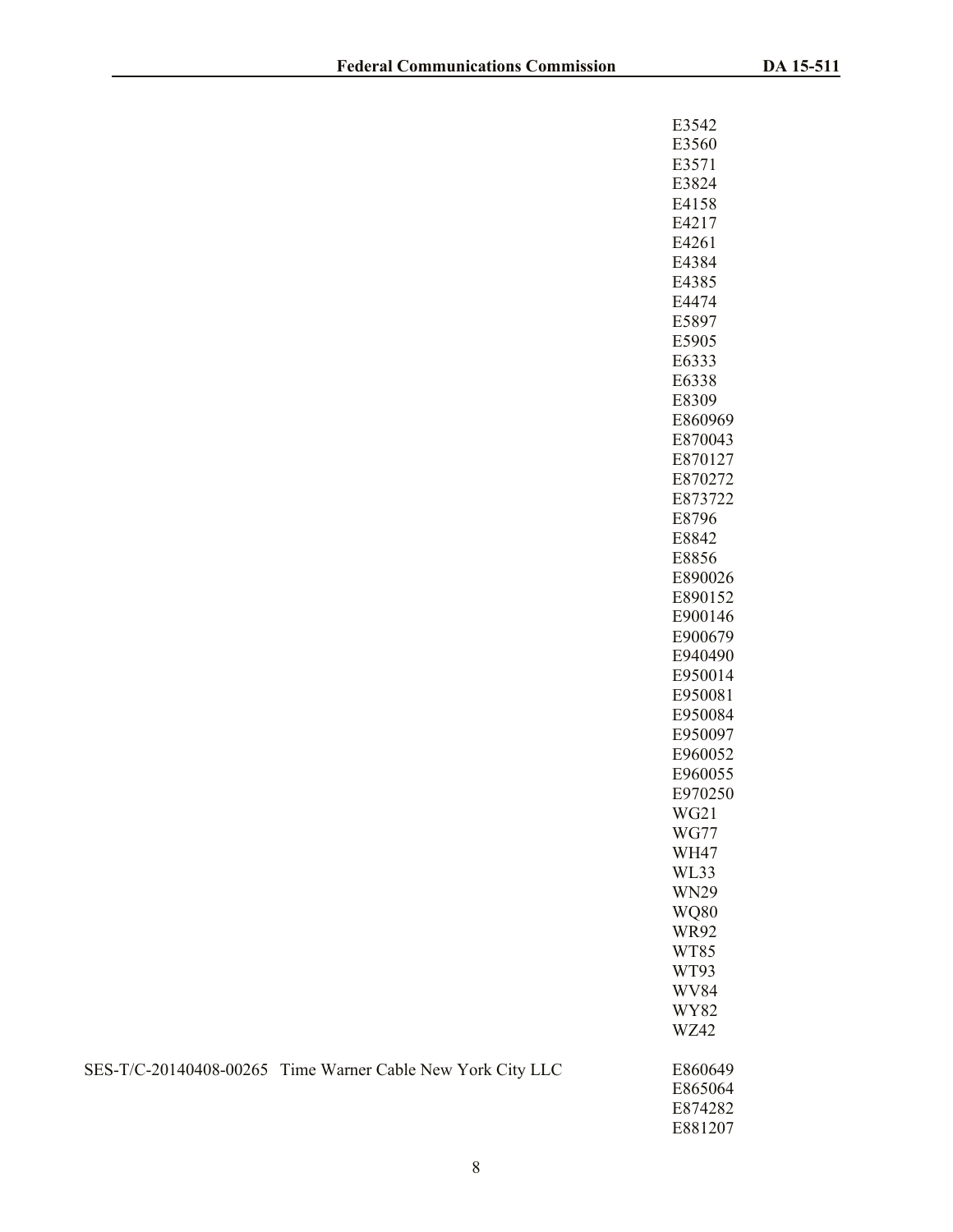| E3542                      |
|----------------------------|
| E3560<br>E3571             |
| E3824                      |
| E4158                      |
| E4217                      |
| E4261                      |
| E4384                      |
| E4385<br>E4474             |
| E5897                      |
| E5905                      |
| E6333                      |
| E6338                      |
| E8309                      |
| E860969                    |
| E870043<br>E870127         |
| E870272                    |
| E873722                    |
| E8796                      |
| E8842                      |
| E8856                      |
| E890026                    |
| E890152<br>E900146         |
| E900679                    |
| E940490                    |
| E950014                    |
| E950081                    |
| E950084                    |
| E950097<br>E960052         |
| E960055                    |
| E970250                    |
| WG21                       |
| WG77                       |
| <b>WH47</b>                |
| WL33                       |
| <b>WN29</b><br><b>WO80</b> |
| WR92                       |
| WT85                       |
| WT93                       |
| WV84                       |
| WY82                       |
| WZ42                       |
| E860649                    |
| E865064<br>E874282         |
| E881207                    |

|  | SES-T/C-20140408-00265 Time Warner Cable New York City LLC | E860649 |
|--|------------------------------------------------------------|---------|
|--|------------------------------------------------------------|---------|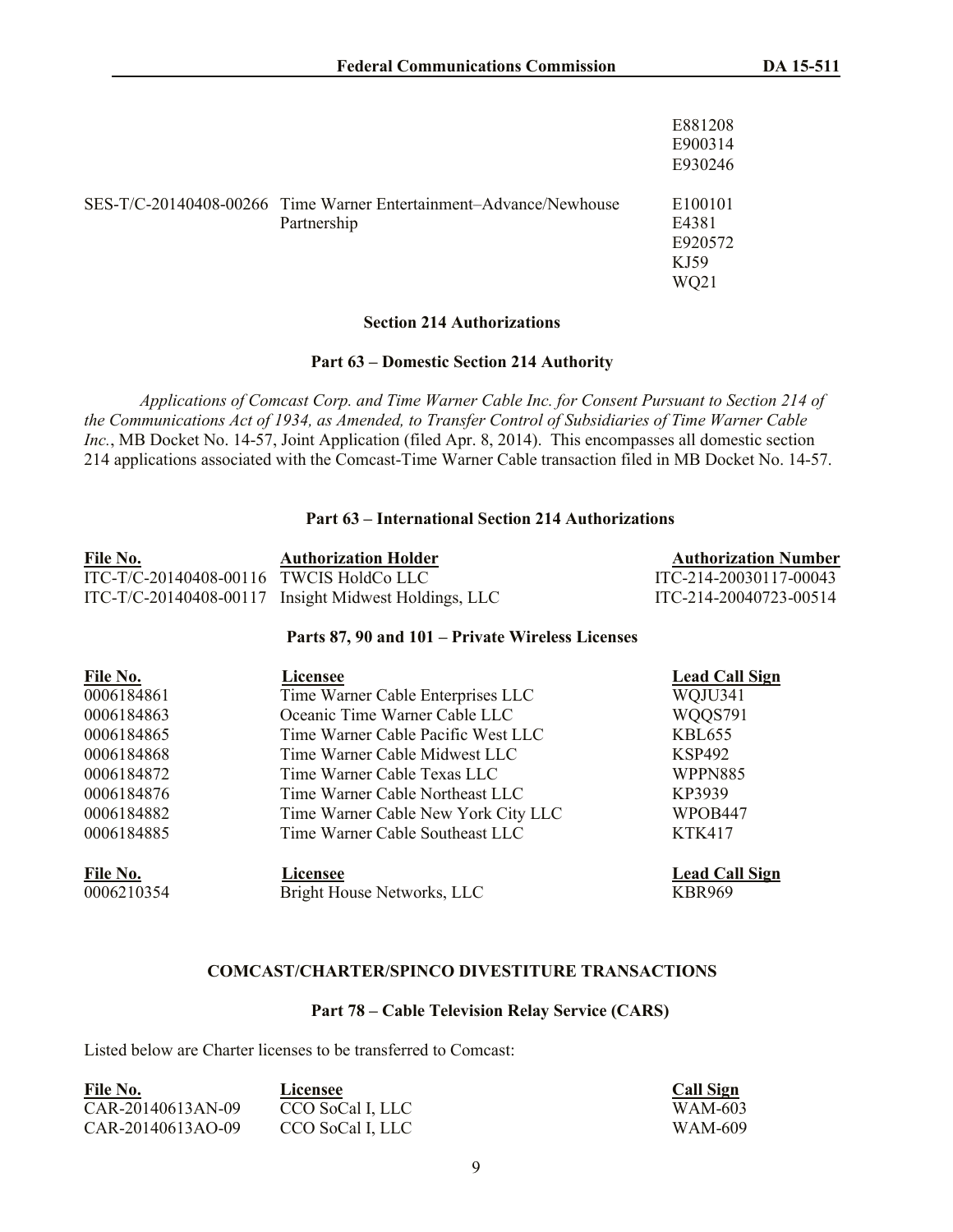|                                                                                  | E881208<br>E900314<br>E930246               |
|----------------------------------------------------------------------------------|---------------------------------------------|
| SES-T/C-20140408-00266 Time Warner Entertainment-Advance/Newhouse<br>Partnership | E100101<br>E4381<br>E920572<br>KJ59<br>WO21 |

## **Section 214 Authorizations**

#### **Part 63 – Domestic Section 214 Authority**

*Applications of Comcast Corp. and Time Warner Cable Inc. for Consent Pursuant to Section 214 of the Communications Act of 1934, as Amended, to Transfer Control of Subsidiaries of Time Warner Cable Inc.*, MB Docket No. 14-57, Joint Application (filed Apr. 8, 2014). This encompasses all domestic section 214 applications associated with the Comcast-Time Warner Cable transaction filed in MB Docket No. 14-57.

#### **Part 63 – International Section 214 Authorizations**

| File No.                                | <b>Authorization Holder</b>                          | <b>Authorization Number</b> |
|-----------------------------------------|------------------------------------------------------|-----------------------------|
| ITC-T/C-20140408-00116 TWCIS HoldCo LLC |                                                      | ITC-214-20030117-00043      |
|                                         | ITC-T/C-20140408-00117 Insight Midwest Holdings, LLC | ITC-214-20040723-00514      |

#### **Parts 87, 90 and 101 – Private Wireless Licenses**

| File No.   | Licensee                            | <b>Lead Call Sign</b> |
|------------|-------------------------------------|-----------------------|
| 0006184861 | Time Warner Cable Enterprises LLC   | WQJU341               |
| 0006184863 | Oceanic Time Warner Cable LLC       | WQQS791               |
| 0006184865 | Time Warner Cable Pacific West LLC  | KBL655                |
| 0006184868 | Time Warner Cable Midwest LLC       | KSP492                |
| 0006184872 | Time Warner Cable Texas LLC         | WPPN885               |
| 0006184876 | Time Warner Cable Northeast LLC     | KP3939                |
| 0006184882 | Time Warner Cable New York City LLC | WPOB447               |
| 0006184885 | Time Warner Cable Southeast LLC     | <b>KTK417</b>         |
| File No.   | Licensee                            | <b>Lead Call Sign</b> |
| 0006210354 | Bright House Networks, LLC          | <b>KBR969</b>         |

#### **COMCAST/CHARTER/SPINCO DIVESTITURE TRANSACTIONS**

### **Part 78 – Cable Television Relay Service (CARS)**

Listed below are Charter licenses to be transferred to Comcast:

| File No.          | Licensee         | <b>Call Sign</b> |
|-------------------|------------------|------------------|
| CAR-20140613AN-09 | CCO SoCal I, LLC | WAM-603          |
| CAR-20140613AO-09 | CCO SoCal I, LLC | WAM-609          |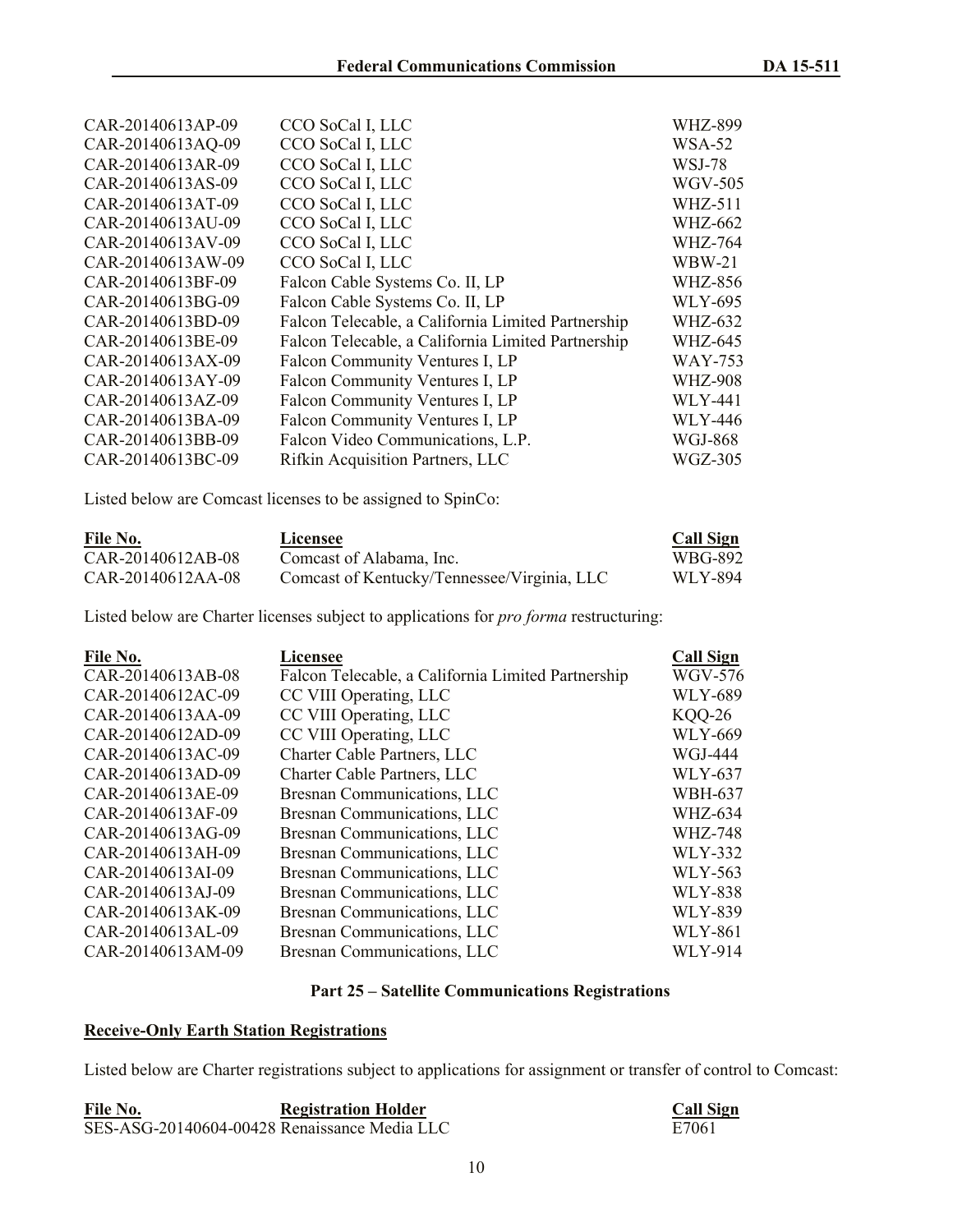| CAR-20140613AP-09 | CCO SoCal I, LLC                                   | <b>WHZ-899</b> |
|-------------------|----------------------------------------------------|----------------|
| CAR-20140613AQ-09 | CCO SoCal I, LLC                                   | <b>WSA-52</b>  |
| CAR-20140613AR-09 | CCO SoCal I, LLC                                   | WSJ-78         |
| CAR-20140613AS-09 | CCO SoCal I, LLC                                   | <b>WGV-505</b> |
| CAR-20140613AT-09 | CCO SoCal I, LLC                                   | <b>WHZ-511</b> |
| CAR-20140613AU-09 | CCO SoCal I, LLC                                   | <b>WHZ-662</b> |
| CAR-20140613AV-09 | CCO SoCal I, LLC                                   | <b>WHZ-764</b> |
| CAR-20140613AW-09 | CCO SoCal I, LLC                                   | <b>WBW-21</b>  |
| CAR-20140613BF-09 | Falcon Cable Systems Co. II, LP                    | <b>WHZ-856</b> |
| CAR-20140613BG-09 | Falcon Cable Systems Co. II, LP                    | <b>WLY-695</b> |
| CAR-20140613BD-09 | Falcon Telecable, a California Limited Partnership | <b>WHZ-632</b> |
| CAR-20140613BE-09 | Falcon Telecable, a California Limited Partnership | <b>WHZ-645</b> |
| CAR-20140613AX-09 | Falcon Community Ventures I, LP                    | <b>WAY-753</b> |
| CAR-20140613AY-09 | Falcon Community Ventures I, LP                    | <b>WHZ-908</b> |
| CAR-20140613AZ-09 | Falcon Community Ventures I, LP                    | <b>WLY-441</b> |
| CAR-20140613BA-09 | Falcon Community Ventures I, LP                    | <b>WLY-446</b> |
| CAR-20140613BB-09 | Falcon Video Communications, L.P.                  | WGJ-868        |
| CAR-20140613BC-09 | Rifkin Acquisition Partners, LLC                   | <b>WGZ-305</b> |

Listed below are Comcast licenses to be assigned to SpinCo:

| File No.          | Licensee                                    | <b>Call Sign</b> |
|-------------------|---------------------------------------------|------------------|
| CAR-20140612AB-08 | Comcast of Alabama, Inc.                    | WBG-892          |
| CAR-20140612AA-08 | Comcast of Kentucky/Tennessee/Virginia, LLC | WLY-894          |

Listed below are Charter licenses subject to applications for *pro forma* restructuring:

| File No.          | <b>Licensee</b>                                    | <b>Call Sign</b> |
|-------------------|----------------------------------------------------|------------------|
| CAR-20140613AB-08 | Falcon Telecable, a California Limited Partnership | <b>WGV-576</b>   |
| CAR-20140612AC-09 | CC VIII Operating, LLC                             | <b>WLY-689</b>   |
| CAR-20140613AA-09 | CC VIII Operating, LLC                             | <b>KOO-26</b>    |
| CAR-20140612AD-09 | CC VIII Operating, LLC                             | <b>WLY-669</b>   |
| CAR-20140613AC-09 | Charter Cable Partners, LLC                        | WGJ-444          |
| CAR-20140613AD-09 | Charter Cable Partners, LLC                        | <b>WLY-637</b>   |
| CAR-20140613AE-09 | Bresnan Communications, LLC                        | <b>WBH-637</b>   |
| CAR-20140613AF-09 | Bresnan Communications, LLC                        | <b>WHZ-634</b>   |
| CAR-20140613AG-09 | Bresnan Communications, LLC                        | WHZ-748          |
| CAR-20140613AH-09 | Bresnan Communications, LLC                        | <b>WLY-332</b>   |
| CAR-20140613AI-09 | Bresnan Communications, LLC                        | WLY-563          |
| CAR-20140613AJ-09 | Bresnan Communications, LLC                        | <b>WLY-838</b>   |
| CAR-20140613AK-09 | Bresnan Communications, LLC                        | <b>WLY-839</b>   |
| CAR-20140613AL-09 | Bresnan Communications, LLC                        | <b>WLY-861</b>   |
| CAR-20140613AM-09 | Bresnan Communications, LLC                        | <b>WLY-914</b>   |

## **Part 25 – Satellite Communications Registrations**

# **Receive-Only Earth Station Registrations**

Listed below are Charter registrations subject to applications for assignment or transfer of control to Comcast:

| File No.                                     | <b>Registration Holder</b> | <b>Call Sign</b> |
|----------------------------------------------|----------------------------|------------------|
| SES-ASG-20140604-00428 Renaissance Media LLC |                            | E7061            |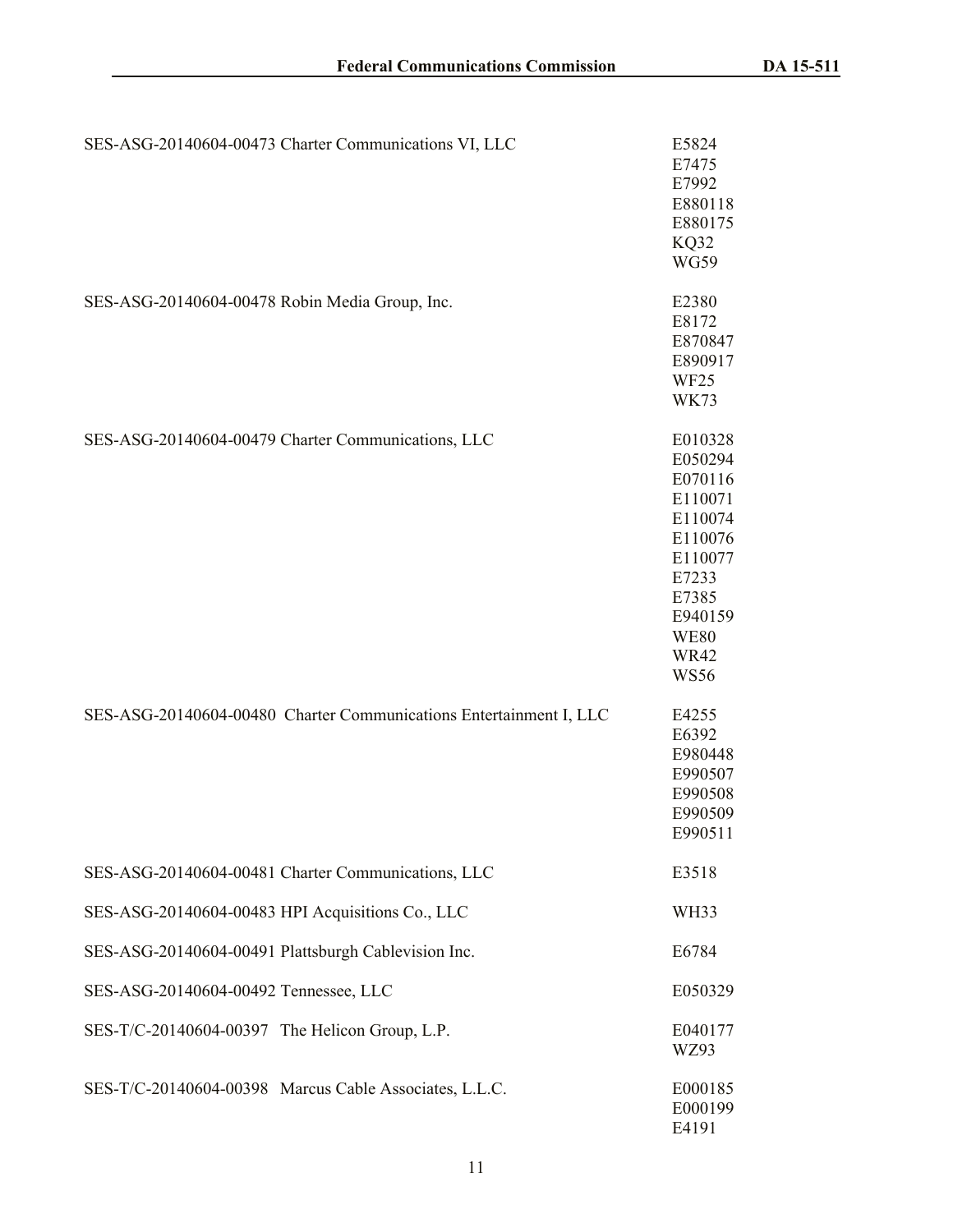| SES-ASG-20140604-00473 Charter Communications VI, LLC              | E5824<br>E7475<br>E7992<br>E880118<br>E880175<br>KQ32<br><b>WG59</b>                                                                                |
|--------------------------------------------------------------------|-----------------------------------------------------------------------------------------------------------------------------------------------------|
| SES-ASG-20140604-00478 Robin Media Group, Inc.                     | E2380<br>E8172<br>E870847<br>E890917<br>WF <sub>25</sub><br><b>WK73</b>                                                                             |
| SES-ASG-20140604-00479 Charter Communications, LLC                 | E010328<br>E050294<br>E070116<br>E110071<br>E110074<br>E110076<br>E110077<br>E7233<br>E7385<br>E940159<br><b>WE80</b><br><b>WR42</b><br><b>WS56</b> |
| SES-ASG-20140604-00480 Charter Communications Entertainment I, LLC | E4255<br>E6392<br>E980448<br>E990507<br>E990508<br>E990509<br>E990511                                                                               |
| SES-ASG-20140604-00481 Charter Communications, LLC                 | E3518                                                                                                                                               |
| SES-ASG-20140604-00483 HPI Acquisitions Co., LLC                   | WH <sub>3</sub> 3                                                                                                                                   |
| SES-ASG-20140604-00491 Plattsburgh Cablevision Inc.                | E6784                                                                                                                                               |
| SES-ASG-20140604-00492 Tennessee, LLC                              | E050329                                                                                                                                             |
| SES-T/C-20140604-00397 The Helicon Group, L.P.                     | E040177<br>WZ93                                                                                                                                     |
| SES-T/C-20140604-00398 Marcus Cable Associates, L.L.C.             | E000185<br>E000199<br>E4191                                                                                                                         |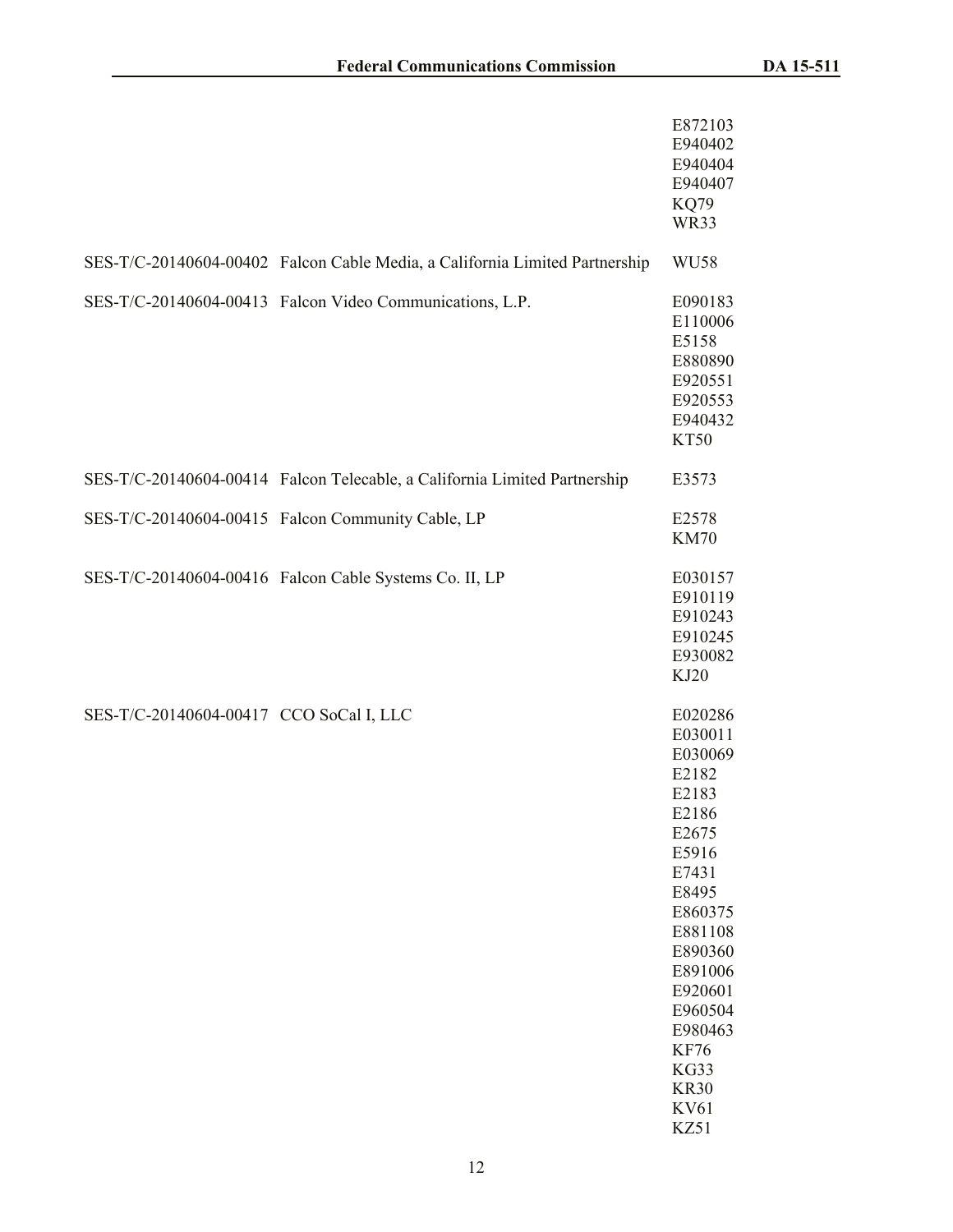|                                         |                                                                             | E872103<br>E940402<br>E940404<br>E940407<br><b>KQ79</b><br>WR33                                                                                                                                                                        |
|-----------------------------------------|-----------------------------------------------------------------------------|----------------------------------------------------------------------------------------------------------------------------------------------------------------------------------------------------------------------------------------|
|                                         | SES-T/C-20140604-00402 Falcon Cable Media, a California Limited Partnership | WU58                                                                                                                                                                                                                                   |
|                                         | SES-T/C-20140604-00413 Falcon Video Communications, L.P.                    | E090183<br>E110006<br>E5158<br>E880890<br>E920551<br>E920553<br>E940432<br>KT50                                                                                                                                                        |
|                                         | SES-T/C-20140604-00414 Falcon Telecable, a California Limited Partnership   | E3573                                                                                                                                                                                                                                  |
|                                         | SES-T/C-20140604-00415 Falcon Community Cable, LP                           | E2578<br><b>KM70</b>                                                                                                                                                                                                                   |
|                                         | SES-T/C-20140604-00416 Falcon Cable Systems Co. II, LP                      | E030157<br>E910119<br>E910243<br>E910245<br>E930082<br>KJ20                                                                                                                                                                            |
| SES-T/C-20140604-00417 CCO SoCal I, LLC |                                                                             | E020286<br>E030011<br>E030069<br>E2182<br>E2183<br>E2186<br>E2675<br>E5916<br>E7431<br>E8495<br>E860375<br>E881108<br>E890360<br>E891006<br>E920601<br>E960504<br>E980463<br><b>KF76</b><br>KG33<br><b>KR30</b><br><b>KV61</b><br>KZ51 |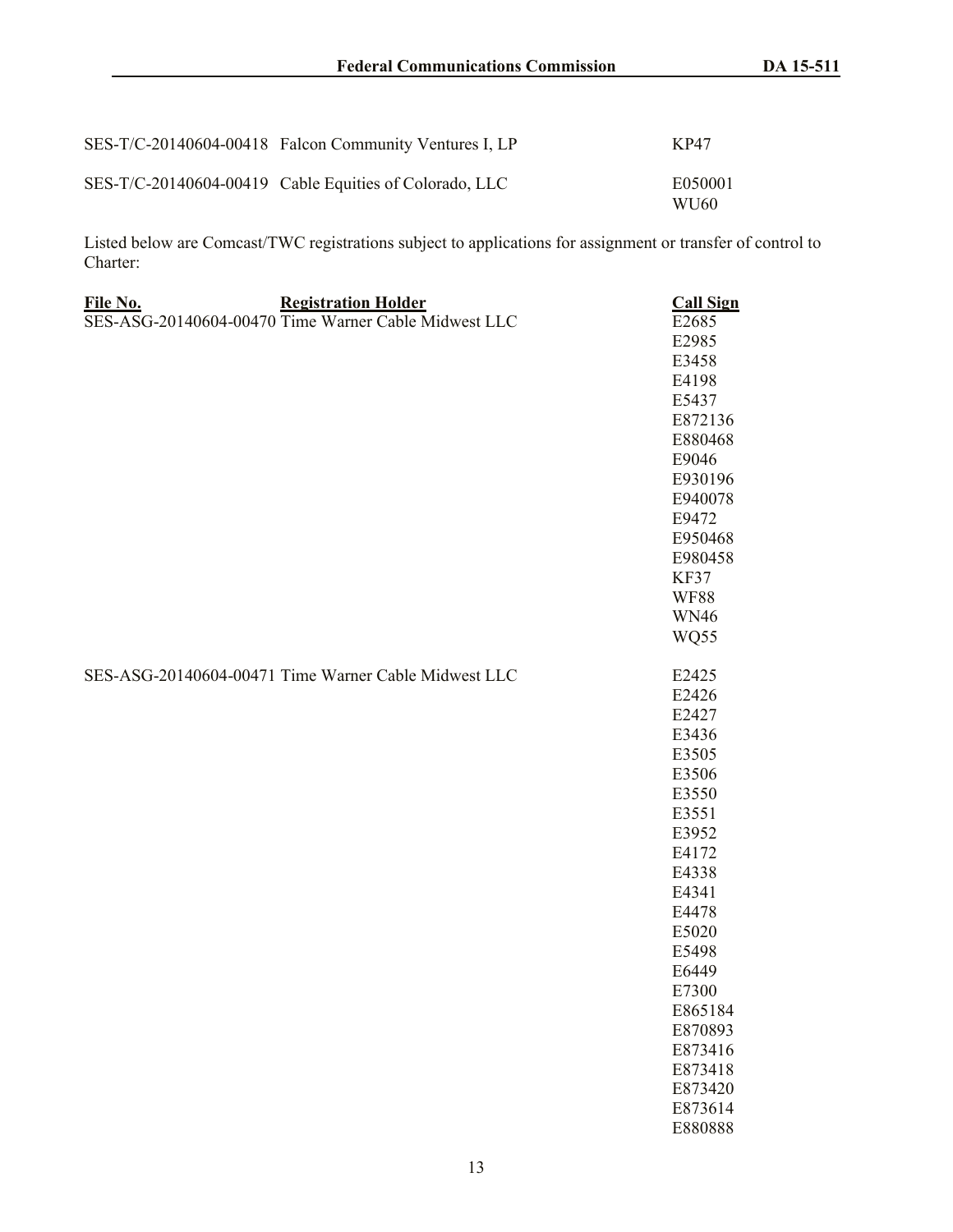| SES-T/C-20140604-00418 Falcon Community Ventures I, LP | KP47             |
|--------------------------------------------------------|------------------|
| SES-T/C-20140604-00419 Cable Equities of Colorado, LLC | E050001<br>WU60- |

Listed below are Comcast/TWC registrations subject to applications for assignment or transfer of control to Charter:

| File No. | <b>Registration Holder</b>                           | <b>Call Sign</b> |
|----------|------------------------------------------------------|------------------|
|          | SES-ASG-20140604-00470 Time Warner Cable Midwest LLC | E2685            |
|          |                                                      | E2985            |
|          |                                                      | E3458            |
|          |                                                      | E4198            |
|          |                                                      | E5437            |
|          |                                                      | E872136          |
|          |                                                      | E880468          |
|          |                                                      | E9046            |
|          |                                                      | E930196          |
|          |                                                      | E940078          |
|          |                                                      | E9472            |
|          |                                                      | E950468          |
|          |                                                      | E980458          |
|          |                                                      | KF37             |
|          |                                                      | <b>WF88</b>      |
|          |                                                      | <b>WN46</b>      |
|          |                                                      | WQ55             |
|          |                                                      |                  |
|          | SES-ASG-20140604-00471 Time Warner Cable Midwest LLC | E2425            |
|          |                                                      | E2426            |
|          |                                                      | E2427            |
|          |                                                      | E3436            |
|          |                                                      | E3505            |
|          |                                                      | E3506            |
|          |                                                      | E3550            |
|          |                                                      | E3551            |
|          |                                                      | E3952            |
|          |                                                      | E4172            |
|          |                                                      | E4338            |
|          |                                                      | E4341            |
|          |                                                      | E4478            |
|          |                                                      | E5020            |
|          |                                                      | E5498            |
|          |                                                      | E6449            |
|          |                                                      | E7300            |
|          |                                                      | E865184          |
|          |                                                      | E870893          |
|          |                                                      | E873416          |
|          |                                                      | E873418          |
|          |                                                      | E873420          |
|          |                                                      | E873614          |
|          |                                                      | E880888          |
|          |                                                      |                  |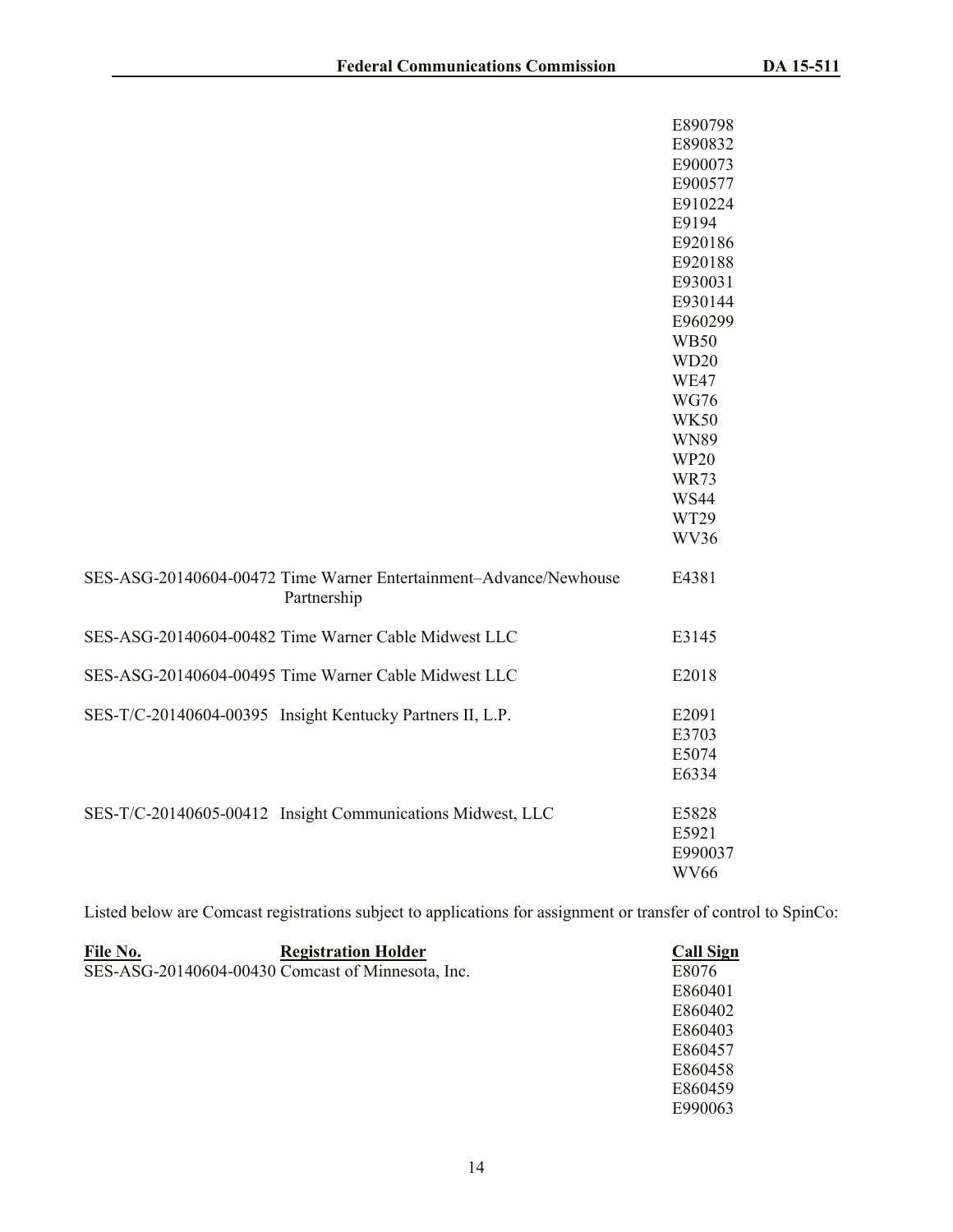|                                                                                  | E890798          |
|----------------------------------------------------------------------------------|------------------|
|                                                                                  | E890832          |
|                                                                                  | E900073          |
|                                                                                  | E900577          |
|                                                                                  | E910224          |
|                                                                                  | E9194            |
|                                                                                  | E920186          |
|                                                                                  | E920188          |
|                                                                                  | E930031          |
|                                                                                  | E930144          |
|                                                                                  | E960299          |
|                                                                                  | <b>WB50</b>      |
|                                                                                  | WD <sub>20</sub> |
|                                                                                  | <b>WE47</b>      |
|                                                                                  | <b>WG76</b>      |
|                                                                                  | <b>WK50</b>      |
|                                                                                  | <b>WN89</b>      |
|                                                                                  | <b>WP20</b>      |
|                                                                                  | <b>WR73</b>      |
|                                                                                  | <b>WS44</b>      |
|                                                                                  | WT29             |
|                                                                                  | WV36             |
| SES-ASG-20140604-00472 Time Warner Entertainment-Advance/Newhouse<br>Partnership | E4381            |
| SES-ASG-20140604-00482 Time Warner Cable Midwest LLC                             | E3145            |
| SES-ASG-20140604-00495 Time Warner Cable Midwest LLC                             | E2018            |
| SES-T/C-20140604-00395 Insight Kentucky Partners II, L.P.                        | E2091            |
|                                                                                  | E3703            |
|                                                                                  | E5074            |
|                                                                                  | E6334            |
| SES-T/C-20140605-00412 Insight Communications Midwest, LLC                       | E5828            |
|                                                                                  | E5921            |
|                                                                                  | E990037          |
|                                                                                  | <b>WV66</b>      |

Listed below are Comcast registrations subject to applications for assignment or transfer of control to SpinCo:

| File No. | <b>Registration Holder</b>                        | <b>Call Sign</b> |
|----------|---------------------------------------------------|------------------|
|          | SES-ASG-20140604-00430 Comcast of Minnesota, Inc. | E8076            |
|          |                                                   | E860401          |
|          |                                                   | E860402          |
|          |                                                   | E860403          |
|          |                                                   | E860457          |
|          |                                                   | E860458          |
|          |                                                   | E860459          |
|          |                                                   | E990063          |
|          |                                                   |                  |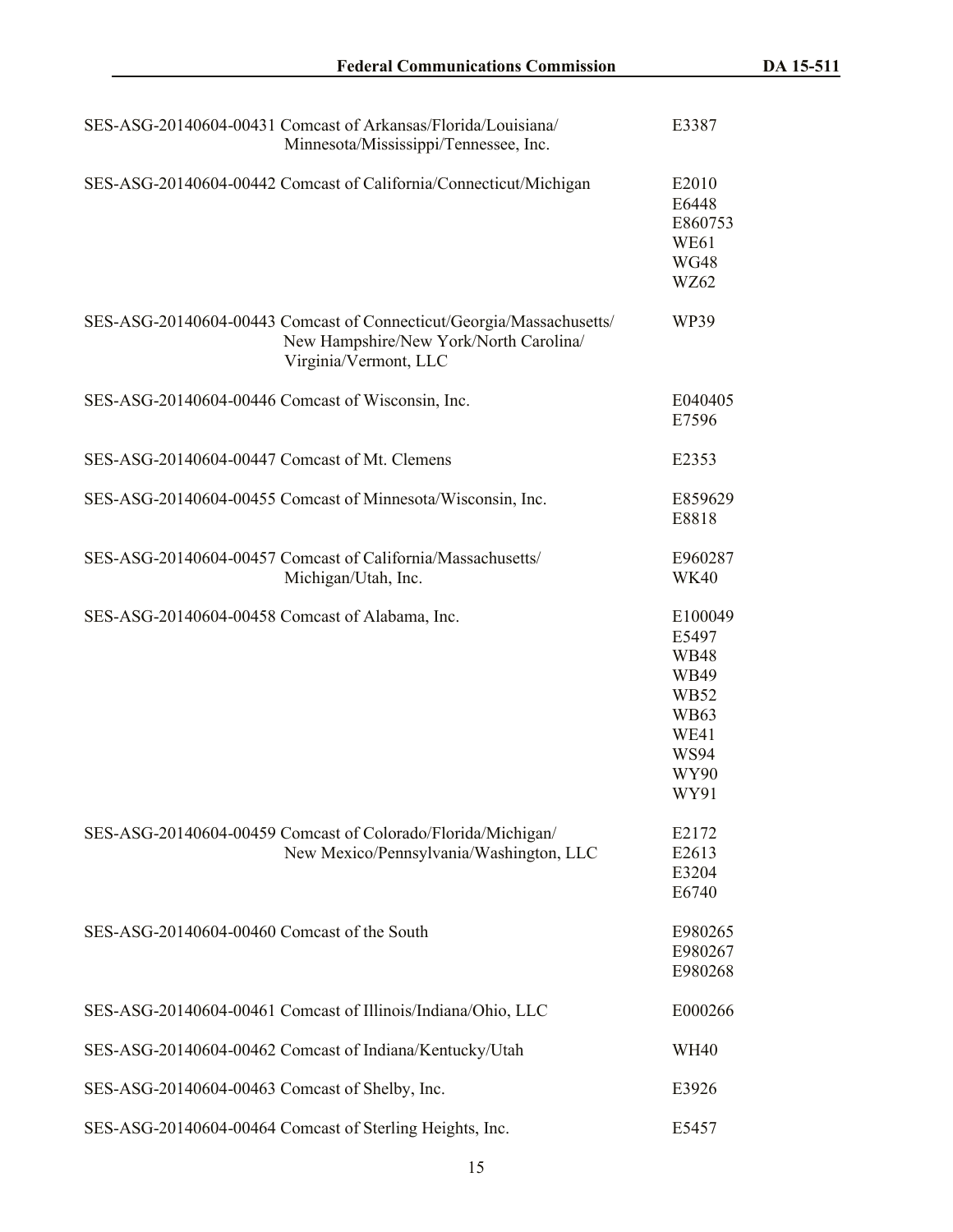|                                                   | SES-ASG-20140604-00431 Comcast of Arkansas/Florida/Louisiana/<br>Minnesota/Mississippi/Tennessee, Inc.                                  | E3387                                                                                                        |
|---------------------------------------------------|-----------------------------------------------------------------------------------------------------------------------------------------|--------------------------------------------------------------------------------------------------------------|
|                                                   | SES-ASG-20140604-00442 Comcast of California/Connecticut/Michigan                                                                       | E2010<br>E6448<br>E860753<br>WE61<br><b>WG48</b><br>WZ62                                                     |
|                                                   | SES-ASG-20140604-00443 Comcast of Connecticut/Georgia/Massachusetts/<br>New Hampshire/New York/North Carolina/<br>Virginia/Vermont, LLC | WP39                                                                                                         |
| SES-ASG-20140604-00446 Comcast of Wisconsin, Inc. |                                                                                                                                         | E040405<br>E7596                                                                                             |
| SES-ASG-20140604-00447 Comcast of Mt. Clemens     |                                                                                                                                         | E2353                                                                                                        |
|                                                   | SES-ASG-20140604-00455 Comcast of Minnesota/Wisconsin, Inc.                                                                             | E859629<br>E8818                                                                                             |
|                                                   | SES-ASG-20140604-00457 Comcast of California/Massachusetts/<br>Michigan/Utah, Inc.                                                      | E960287<br><b>WK40</b>                                                                                       |
| SES-ASG-20140604-00458 Comcast of Alabama, Inc.   |                                                                                                                                         | E100049<br>E5497<br><b>WB48</b><br>WB49<br><b>WB52</b><br><b>WB63</b><br>WE41<br><b>WS94</b><br>WY90<br>WY91 |
|                                                   | SES-ASG-20140604-00459 Comcast of Colorado/Florida/Michigan/<br>New Mexico/Pennsylvania/Washington, LLC                                 | E2172<br>E2613<br>E3204<br>E6740                                                                             |
| SES-ASG-20140604-00460 Comcast of the South       |                                                                                                                                         | E980265<br>E980267<br>E980268                                                                                |
|                                                   | SES-ASG-20140604-00461 Comcast of Illinois/Indiana/Ohio, LLC                                                                            | E000266                                                                                                      |
|                                                   | SES-ASG-20140604-00462 Comcast of Indiana/Kentucky/Utah                                                                                 | <b>WH40</b>                                                                                                  |
| SES-ASG-20140604-00463 Comcast of Shelby, Inc.    |                                                                                                                                         | E3926                                                                                                        |
|                                                   | SES-ASG-20140604-00464 Comcast of Sterling Heights, Inc.                                                                                | E5457                                                                                                        |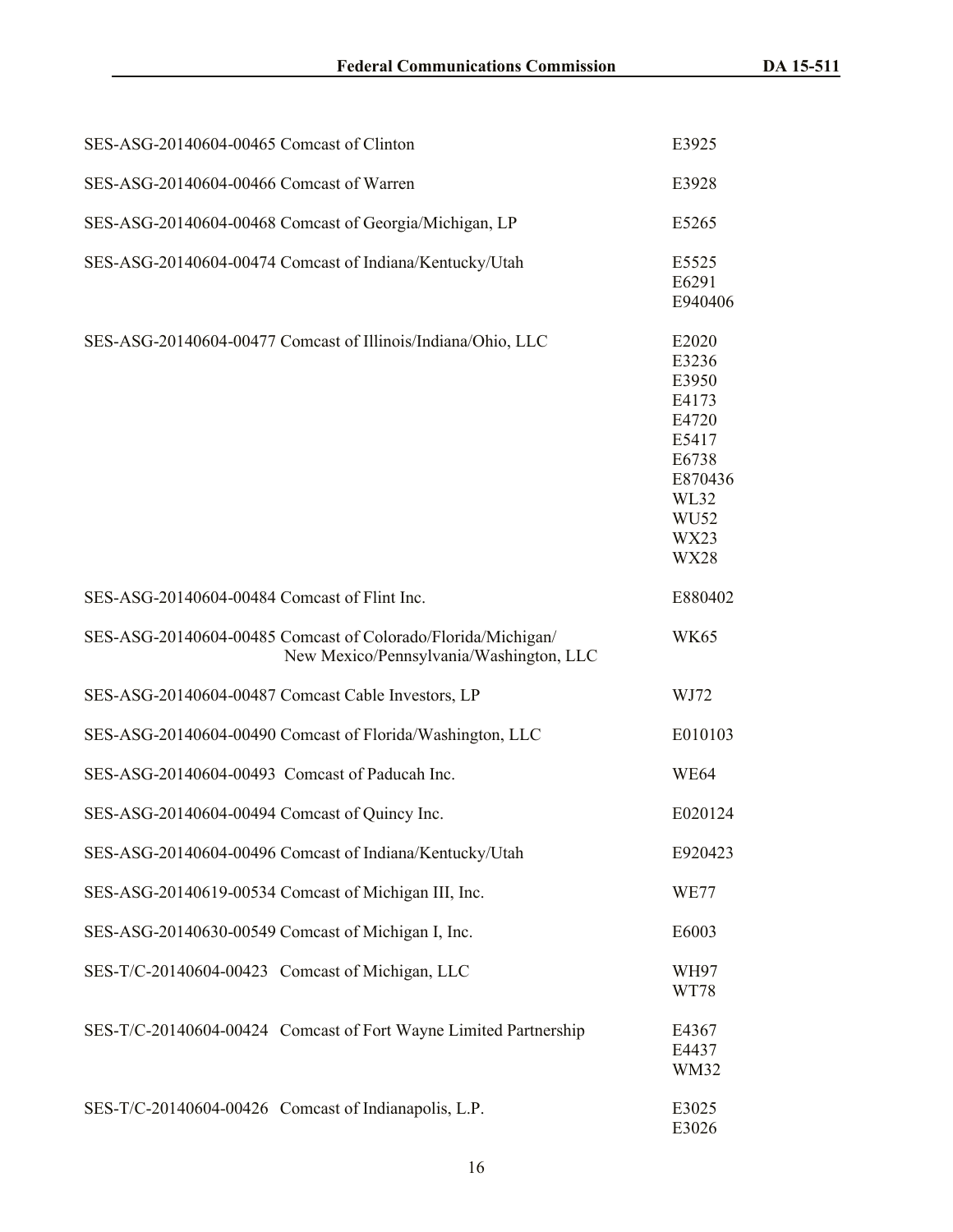| SES-ASG-20140604-00465 Comcast of Clinton            |                                                                                                         | E3925                                                                                                                            |
|------------------------------------------------------|---------------------------------------------------------------------------------------------------------|----------------------------------------------------------------------------------------------------------------------------------|
| SES-ASG-20140604-00466 Comcast of Warren             |                                                                                                         | E3928                                                                                                                            |
|                                                      | SES-ASG-20140604-00468 Comcast of Georgia/Michigan, LP                                                  | E5265                                                                                                                            |
|                                                      | SES-ASG-20140604-00474 Comcast of Indiana/Kentucky/Utah                                                 | E5525<br>E6291<br>E940406                                                                                                        |
|                                                      | SES-ASG-20140604-00477 Comcast of Illinois/Indiana/Ohio, LLC                                            | E2020<br>E3236<br>E3950<br>E4173<br>E4720<br>E5417<br>E6738<br>E870436<br>WL32<br>WU <sub>52</sub><br><b>WX23</b><br><b>WX28</b> |
| SES-ASG-20140604-00484 Comcast of Flint Inc.         |                                                                                                         | E880402                                                                                                                          |
|                                                      | SES-ASG-20140604-00485 Comcast of Colorado/Florida/Michigan/<br>New Mexico/Pennsylvania/Washington, LLC | <b>WK65</b>                                                                                                                      |
| SES-ASG-20140604-00487 Comcast Cable Investors, LP   |                                                                                                         | WJ72                                                                                                                             |
|                                                      | SES-ASG-20140604-00490 Comcast of Florida/Washington, LLC                                               | E010103                                                                                                                          |
| SES-ASG-20140604-00493 Comcast of Paducah Inc.       |                                                                                                         | WE <sub>64</sub>                                                                                                                 |
| SES-ASG-20140604-00494 Comcast of Quincy Inc.        |                                                                                                         | E020124                                                                                                                          |
|                                                      | SES-ASG-20140604-00496 Comcast of Indiana/Kentucky/Utah                                                 | E920423                                                                                                                          |
| SES-ASG-20140619-00534 Comcast of Michigan III, Inc. |                                                                                                         | <b>WE77</b>                                                                                                                      |
| SES-ASG-20140630-00549 Comcast of Michigan I, Inc.   |                                                                                                         | E6003                                                                                                                            |
| SES-T/C-20140604-00423 Comcast of Michigan, LLC      |                                                                                                         | WH97<br>WT78                                                                                                                     |
|                                                      | SES-T/C-20140604-00424 Comcast of Fort Wayne Limited Partnership                                        | E4367<br>E4437<br><b>WM32</b>                                                                                                    |
| SES-T/C-20140604-00426 Comcast of Indianapolis, L.P. |                                                                                                         | E3025<br>E3026                                                                                                                   |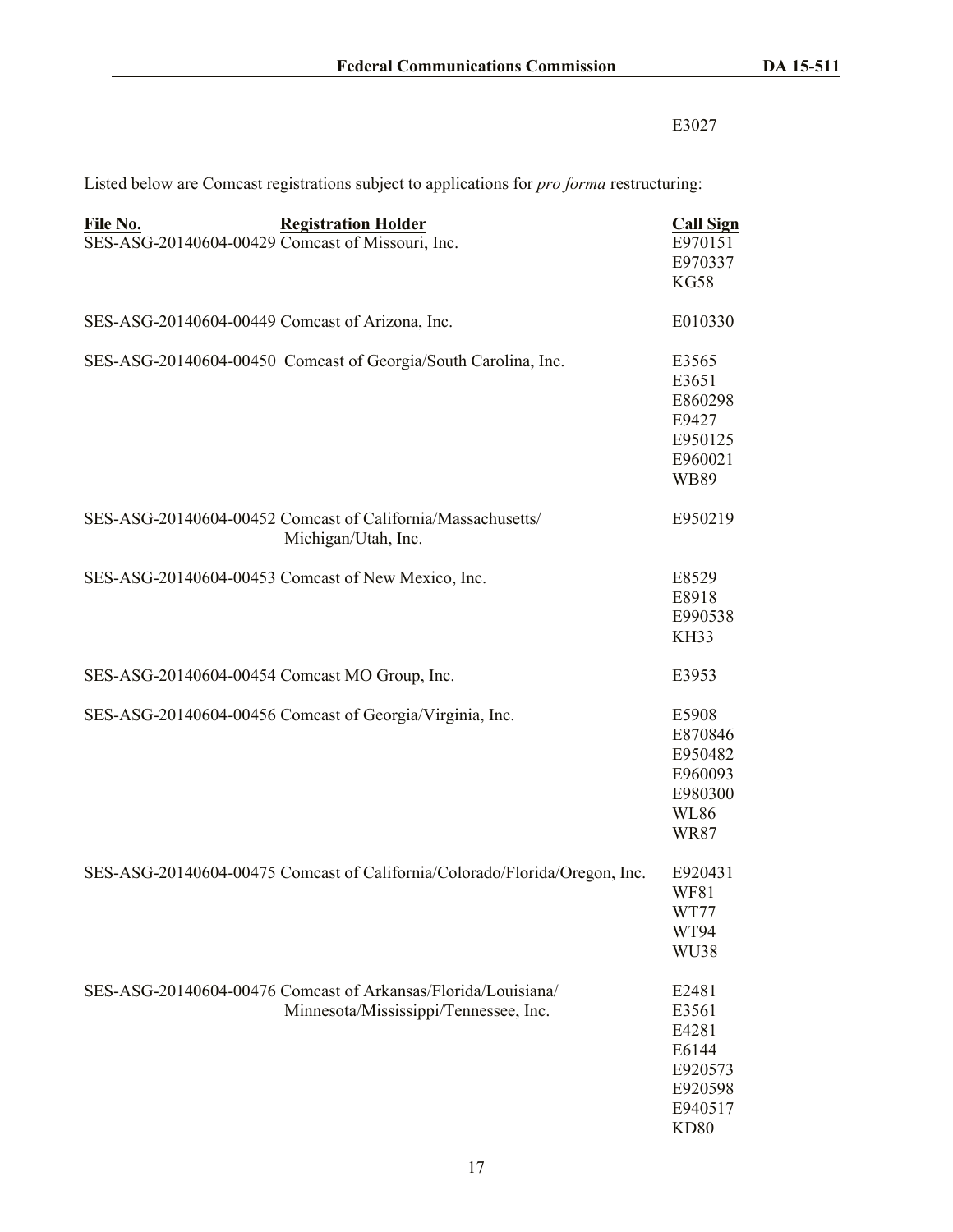# E3027

| File No.                                         | <b>Registration Holder</b>                                                                             | <b>Call Sign</b>                                                                 |
|--------------------------------------------------|--------------------------------------------------------------------------------------------------------|----------------------------------------------------------------------------------|
| SES-ASG-20140604-00429 Comcast of Missouri, Inc. |                                                                                                        | E970151<br>E970337<br><b>KG58</b>                                                |
| SES-ASG-20140604-00449 Comcast of Arizona, Inc.  |                                                                                                        | E010330                                                                          |
|                                                  | SES-ASG-20140604-00450 Comcast of Georgia/South Carolina, Inc.                                         | E3565<br>E3651<br>E860298<br>E9427<br>E950125<br>E960021<br><b>WB89</b>          |
|                                                  | SES-ASG-20140604-00452 Comcast of California/Massachusetts/<br>Michigan/Utah, Inc.                     | E950219                                                                          |
|                                                  | SES-ASG-20140604-00453 Comcast of New Mexico, Inc.                                                     | E8529<br>E8918<br>E990538<br><b>KH33</b>                                         |
| SES-ASG-20140604-00454 Comcast MO Group, Inc.    |                                                                                                        | E3953                                                                            |
|                                                  | SES-ASG-20140604-00456 Comcast of Georgia/Virginia, Inc.                                               | E5908<br>E870846<br>E950482<br>E960093<br>E980300<br><b>WL86</b><br><b>WR87</b>  |
|                                                  | SES-ASG-20140604-00475 Comcast of California/Colorado/Florida/Oregon, Inc.                             | E920431<br><b>WF81</b><br>WT77<br>WT94<br>WU38                                   |
|                                                  | SES-ASG-20140604-00476 Comcast of Arkansas/Florida/Louisiana/<br>Minnesota/Mississippi/Tennessee, Inc. | E2481<br>E3561<br>E4281<br>E6144<br>E920573<br>E920598<br>E940517<br><b>KD80</b> |

Listed below are Comcast registrations subject to applications for *pro forma* restructuring: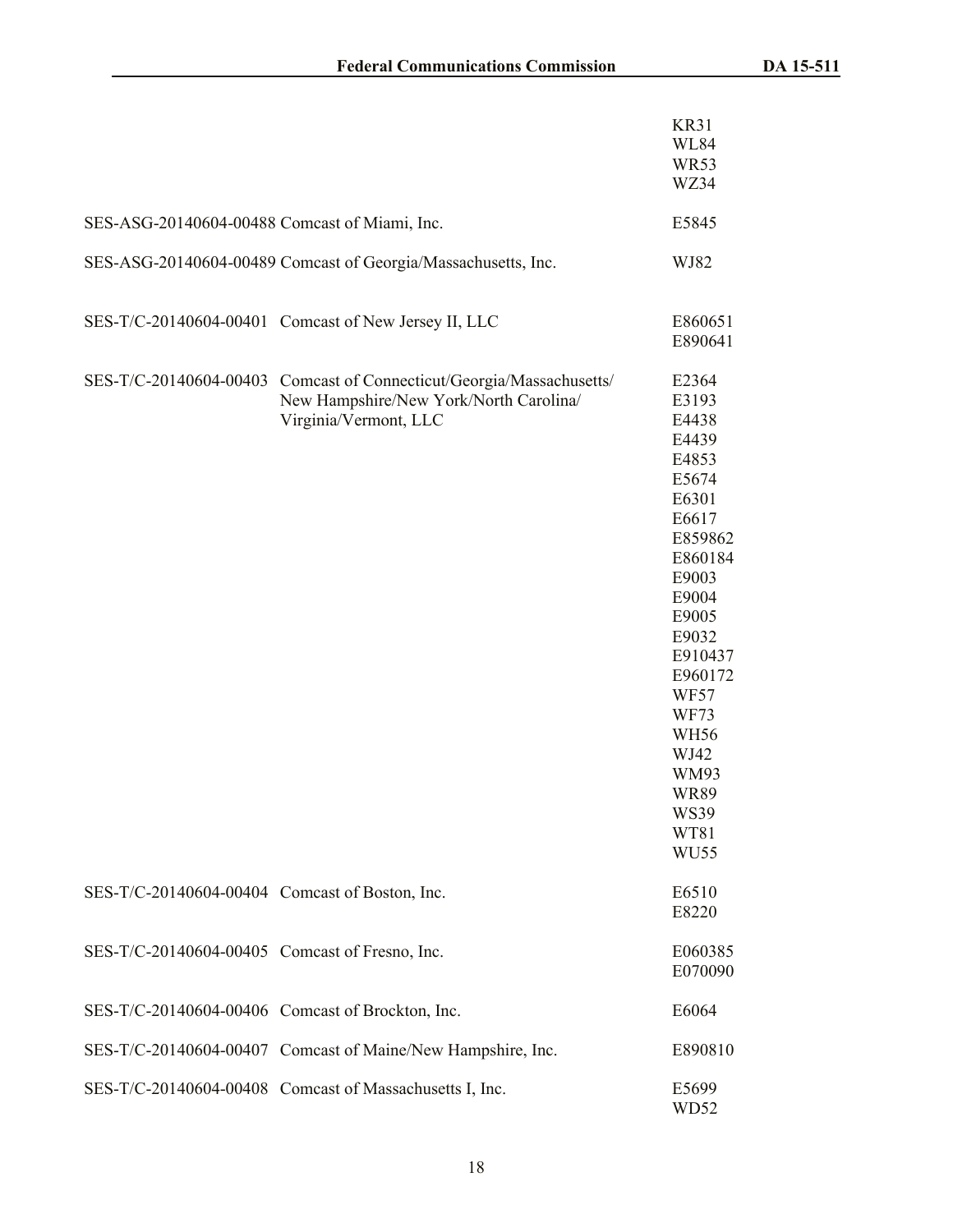|                                                  |                                                                                                                  | <b>KR31</b><br><b>WL84</b><br><b>WR53</b><br>WZ34                                                                                                                                                                                                                           |
|--------------------------------------------------|------------------------------------------------------------------------------------------------------------------|-----------------------------------------------------------------------------------------------------------------------------------------------------------------------------------------------------------------------------------------------------------------------------|
| SES-ASG-20140604-00488 Comcast of Miami, Inc.    |                                                                                                                  | E5845                                                                                                                                                                                                                                                                       |
|                                                  | SES-ASG-20140604-00489 Comcast of Georgia/Massachusetts, Inc.                                                    | WJ82                                                                                                                                                                                                                                                                        |
|                                                  | SES-T/C-20140604-00401 Comcast of New Jersey II, LLC                                                             | E860651<br>E890641                                                                                                                                                                                                                                                          |
| SES-T/C-20140604-00403                           | Comcast of Connecticut/Georgia/Massachusetts/<br>New Hampshire/New York/North Carolina/<br>Virginia/Vermont, LLC | E2364<br>E3193<br>E4438<br>E4439<br>E4853<br>E5674<br>E6301<br>E6617<br>E859862<br>E860184<br>E9003<br>E9004<br>E9005<br>E9032<br>E910437<br>E960172<br><b>WF57</b><br><b>WF73</b><br><b>WH56</b><br>WJ42<br>WM93<br><b>WR89</b><br><b>WS39</b><br>WT81<br>WU <sub>55</sub> |
| SES-T/C-20140604-00404 Comcast of Boston, Inc.   |                                                                                                                  | E6510<br>E8220                                                                                                                                                                                                                                                              |
| SES-T/C-20140604-00405 Comcast of Fresno, Inc.   |                                                                                                                  | E060385<br>E070090                                                                                                                                                                                                                                                          |
| SES-T/C-20140604-00406 Comcast of Brockton, Inc. |                                                                                                                  | E6064                                                                                                                                                                                                                                                                       |
|                                                  | SES-T/C-20140604-00407 Comcast of Maine/New Hampshire, Inc.                                                      | E890810                                                                                                                                                                                                                                                                     |
|                                                  | SES-T/C-20140604-00408 Comcast of Massachusetts I, Inc.                                                          | E5699<br>WD52                                                                                                                                                                                                                                                               |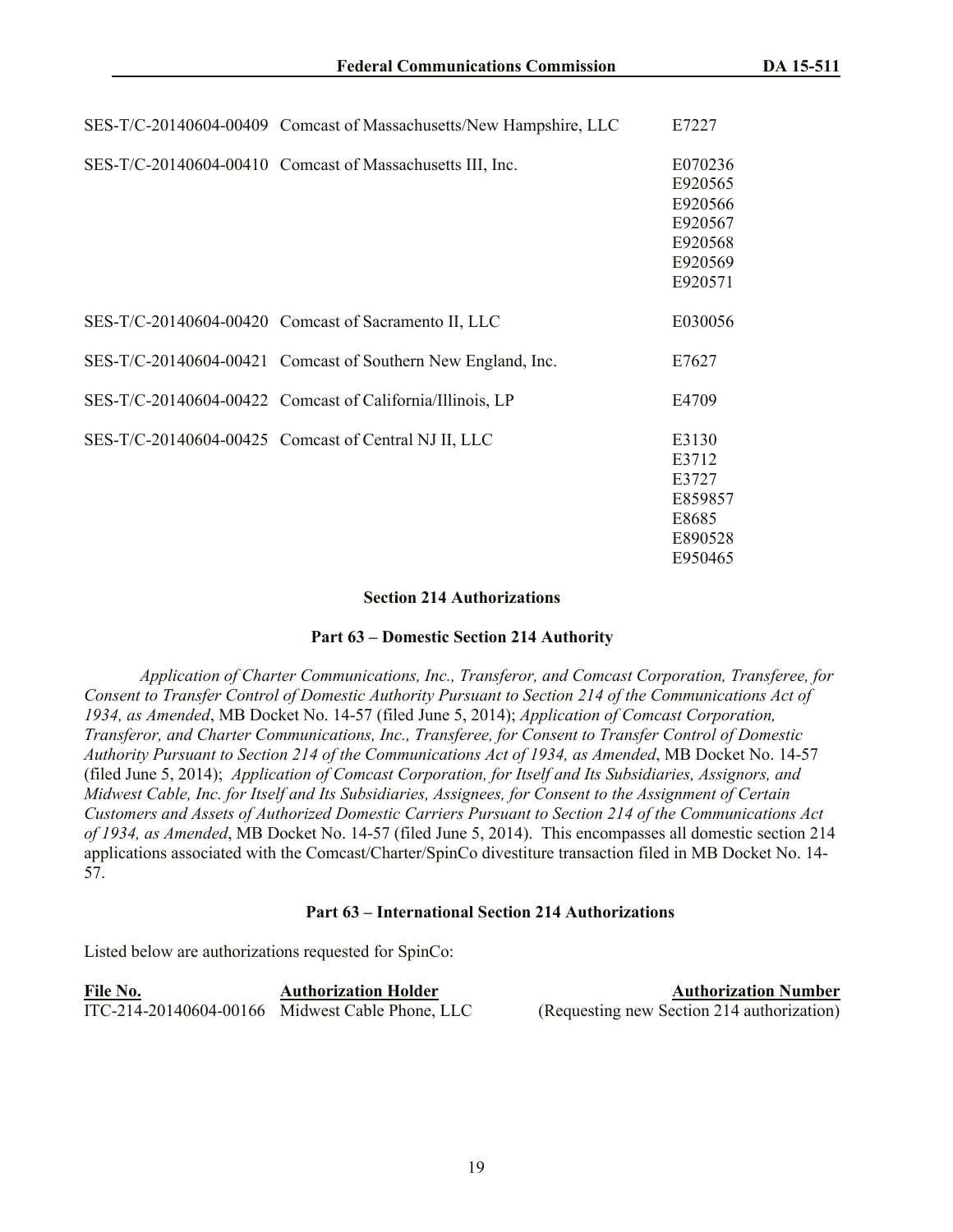| SES-T/C-20140604-00409 Comcast of Massachusetts/New Hampshire, LLC | E7227                                                                     |
|--------------------------------------------------------------------|---------------------------------------------------------------------------|
| SES-T/C-20140604-00410 Comcast of Massachusetts III, Inc.          | E070236<br>E920565<br>E920566<br>E920567<br>E920568<br>E920569<br>E920571 |
| SES-T/C-20140604-00420 Comcast of Sacramento II, LLC               | E030056                                                                   |
| SES-T/C-20140604-00421 Comcast of Southern New England, Inc.       | E7627                                                                     |
| SES-T/C-20140604-00422 Comcast of California/Illinois, LP          | E4709                                                                     |
| SES-T/C-20140604-00425 Comcast of Central NJ II, LLC               | E3130<br>E3712<br>E3727<br>E859857<br>E8685<br>E890528<br>E950465         |

#### **Section 214 Authorizations**

#### **Part 63 – Domestic Section 214 Authority**

*Application of Charter Communications, Inc., Transferor, and Comcast Corporation, Transferee, for Consent to Transfer Control of Domestic Authority Pursuant to Section 214 of the Communications Act of 1934, as Amended*, MB Docket No. 14-57 (filed June 5, 2014); *Application of Comcast Corporation, Transferor, and Charter Communications, Inc., Transferee, for Consent to Transfer Control of Domestic Authority Pursuant to Section 214 of the Communications Act of 1934, as Amended*, MB Docket No. 14-57 (filed June 5, 2014); *Application of Comcast Corporation, for Itself and Its Subsidiaries, Assignors, and Midwest Cable, Inc. for Itself and Its Subsidiaries, Assignees, for Consent to the Assignment of Certain Customers and Assets of Authorized Domestic Carriers Pursuant to Section 214 of the Communications Act of 1934, as Amended*, MB Docket No. 14-57 (filed June 5, 2014). This encompasses all domestic section 214 applications associated with the Comcast/Charter/SpinCo divestiture transaction filed in MB Docket No. 14- 57.

#### **Part 63 – International Section 214 Authorizations**

Listed below are authorizations requested for SpinCo:

| File No. | <b>Authorization Holder</b>                     | <b>Authorization Number</b>                |
|----------|-------------------------------------------------|--------------------------------------------|
|          | ITC-214-20140604-00166 Midwest Cable Phone, LLC | (Requesting new Section 214 authorization) |